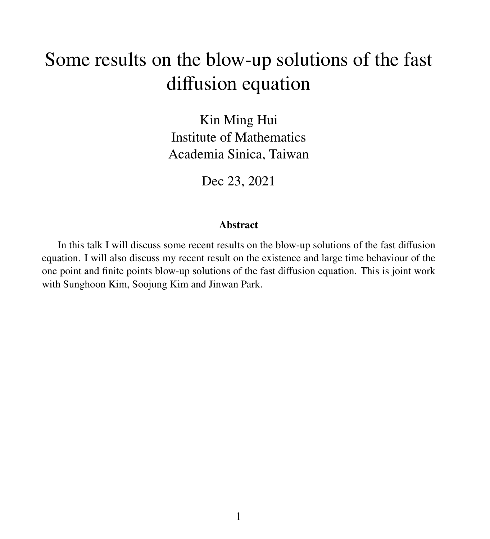# Some results on the blow-up solutions of the fast diffusion equation

Kin Ming Hui Institute of Mathematics Academia Sinica, Taiwan

Dec 23, 2021

#### Abstract

In this talk I will discuss some recent results on the blow-up solutions of the fast diffusion equation. I will also discuss my recent result on the existence and large time behaviour of the one point and finite points blow-up solutions of the fast diffusion equation. This is joint work with Sunghoon Kim, Soojung Kim and Jinwan Park.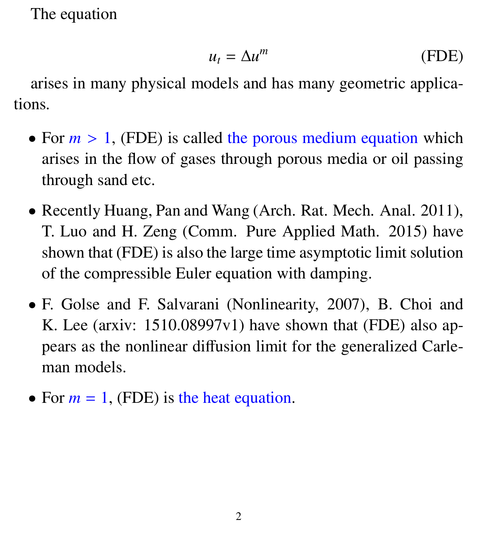The equation

$$
u_t = \Delta u^m \tag{FDE}
$$

arises in many physical models and has many geometric applications.

- For  $m > 1$ , (FDE) is called the porous medium equation which arises in the flow of gases through porous media or oil passing through sand etc.
- Recently Huang, Pan and Wang (Arch. Rat. Mech. Anal. 2011), T. Luo and H. Zeng (Comm. Pure Applied Math. 2015) have shown that (FDE) is also the large time asymptotic limit solution of the compressible Euler equation with damping.
- F. Golse and F. Salvarani (Nonlinearity, 2007), B. Choi and K. Lee (arxiv: 1510.08997v1) have shown that (FDE) also appears as the nonlinear diffusion limit for the generalized Carleman models.
- For  $m = 1$ , (FDE) is the heat equation.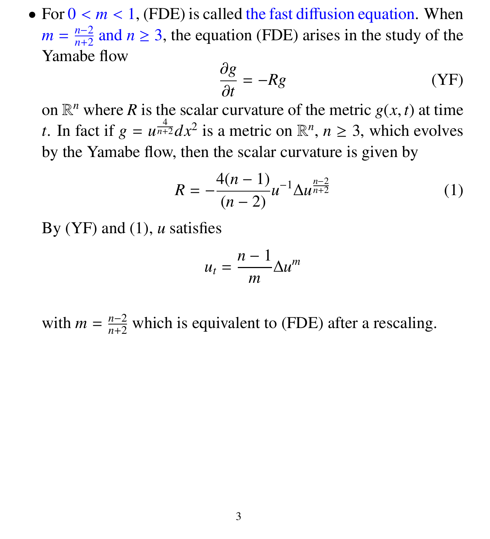• For  $0 < m < 1$ , (FDE) is called the fast diffusion equation. When  $m = \frac{n-2}{n+2}$  $\frac{n-2}{n+2}$  and  $n \ge 3$ , the equation (FDE) arises in the study of the Yamabe flow

$$
\frac{\partial g}{\partial t} = -Rg \tag{YF}
$$

 $\frac{\partial t}{\partial n}$  on  $\mathbb{R}^n$  where *R* is the scalar curvature of the metric *g*(*x*, *t*) at time *t*. In fact if  $g = u^{\frac{4}{n+2}} dx^2$  is a metric on  $\mathbb{R}^n$ ,  $n \ge 3$ , which evolves by the Yamabe flow, then the scalar curvature is given by

$$
R = -\frac{4(n-1)}{(n-2)}u^{-1}\Delta u^{\frac{n-2}{n+2}}\tag{1}
$$

By (YF) and (1), *u* satisfies

$$
u_t = \frac{n-1}{m} \Delta u^m
$$

with  $m = \frac{n-2}{n+2}$  which is equivalent to (FDE) after a rescaling.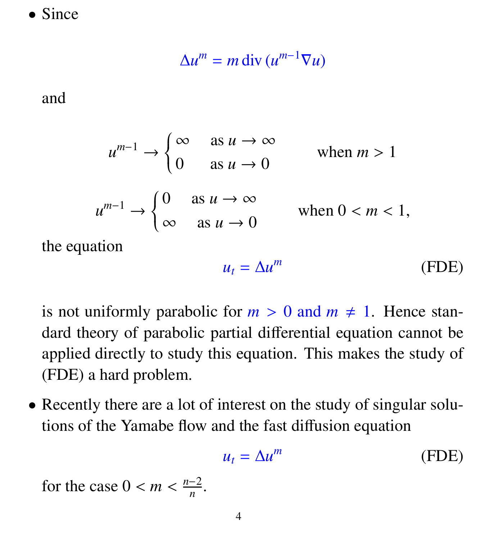• Since

$$
\Delta u^m = m \operatorname{div} \left( u^{m-1} \nabla u \right)
$$

and

$$
u^{m-1} \to \begin{cases} \infty & \text{as } u \to \infty \\ 0 & \text{as } u \to 0 \end{cases} \quad \text{when } m > 1
$$
\n
$$
u^{m-1} \to \begin{cases} 0 & \text{as } u \to \infty \\ \infty & \text{as } u \to 0 \end{cases} \quad \text{when } 0 < m < 1,
$$

the equation

$$
u_t = \Delta u^m \tag{FDE}
$$

is not uniformly parabolic for  $m > 0$  and  $m \neq 1$ . Hence standard theory of parabolic partial differential equation cannot be applied directly to study this equation. This makes the study of (FDE) a hard problem.

• Recently there are a lot of interest on the study of singular solutions of the Yamabe flow and the fast diffusion equation

$$
u_t = \Delta u^m \tag{FDE}
$$

for the case  $0 < m < \frac{n-2}{n}$  $\frac{-2}{n}$ .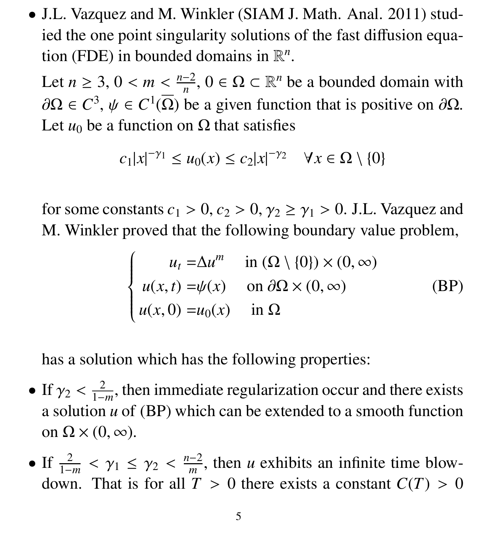• J.L. Vazquez and M. Winkler (SIAM J. Math. Anal. 2011) studied the one point singularity solutions of the fast diffusion equation (FDE) in bounded domains in  $\mathbb{R}^n$ .

Let  $n \ge 3$ ,  $0 < m < \frac{n-2}{n}$ <br>and  $\frac{1}{n}$   $\frac{1}{n}$   $\frac{1}{n}$   $\frac{1}{n}$  $\frac{-2}{n}$ ,  $0 \in \Omega \subset \mathbb{R}^n$  be a bounded domain with  $\partial\Omega \in C^3$ ,  $\psi \in C^1(\overline{\Omega})$  be a given function that is positive on  $\partial\Omega$ .<br>Let us be a function on  $\Omega$  that satisfies Let  $u_0$  be a function on  $\Omega$  that satisfies

$$
c_1|x|^{-\gamma_1} \le u_0(x) \le c_2|x|^{-\gamma_2} \quad \forall x \in \Omega \setminus \{0\}
$$

for some constants  $c_1 > 0$ ,  $c_2 > 0$ ,  $\gamma_2 \ge \gamma_1 > 0$ . J.L. Vazquez and M. Winkler proved that the following boundary value problem,

$$
\begin{cases}\n u_t = \Delta u^m & \text{in } (\Omega \setminus \{0\}) \times (0, \infty) \\
 u(x, t) = \psi(x) & \text{on } \partial\Omega \times (0, \infty) \\
 u(x, 0) = u_0(x) & \text{in } \Omega\n\end{cases}
$$
\n(BP)

has a solution which has the following properties:

- If  $\gamma_2 < \frac{2}{1-}$  $\frac{2}{1-m}$ , then immediate regularization occur and there exists a solution *u* of (BP) which can be extended to a smooth function on  $\Omega \times (0, \infty)$ .
- If  $\frac{2}{1-m}$  $< \gamma_1 \leq \gamma_2 < \frac{n-2}{m}$ <br>That is for all T  $\frac{-2}{m}$ , then *u* exhibits an infinite time blowdown. That is for all  $T > 0$  there exists a constant  $C(T) > 0$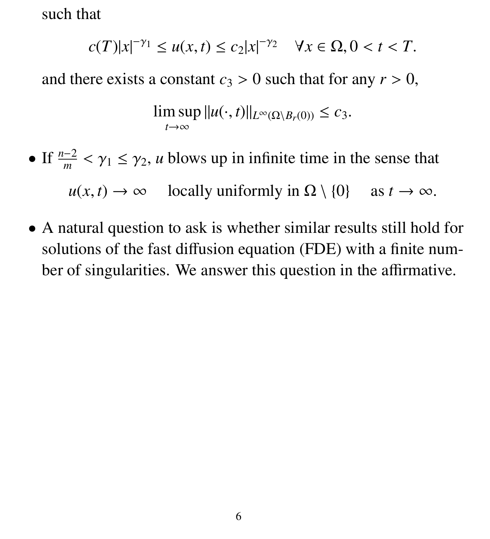such that

$$
c(T)|x|^{-\gamma_1} \le u(x,t) \le c_2|x|^{-\gamma_2} \quad \forall x \in \Omega, 0 < t < T.
$$

and there exists a constant  $c_3 > 0$  such that for any  $r > 0$ ,

$$
\limsup_{t\to\infty}||u(\cdot,t)||_{L^{\infty}(\Omega\setminus B_r(0))}\leq c_3.
$$

- If  $\frac{n-2}{m}$  $< \gamma_1 \leq \gamma_2$ , *u* blows up in infinite time in the sense that  $u(x, t) \rightarrow \infty$  locally uniformly in  $\Omega \setminus \{0\}$  as  $t \rightarrow \infty$ .
- A natural question to ask is whether similar results still hold for solutions of the fast diffusion equation (FDE) with a finite number of singularities. We answer this question in the affirmative.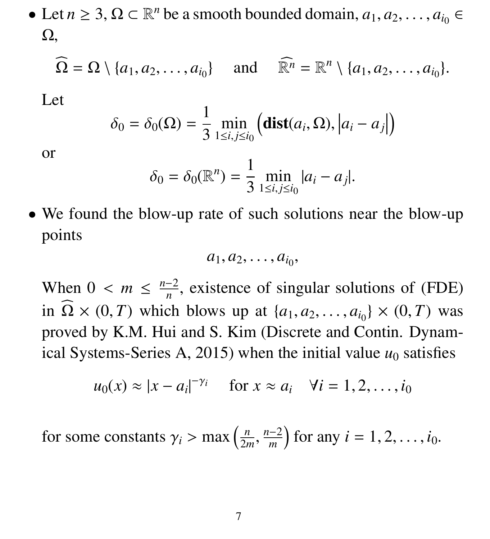• Let  $n \ge 3$ ,  $\Omega \subset \mathbb{R}^n$  be a smooth bounded domain,  $a_1, a_2, \dots, a_{i_0} \in \Omega$ Ω,

$$
\widehat{\Omega} = \Omega \setminus \{a_1, a_2, \ldots, a_{i_0}\} \quad \text{and} \quad \widehat{\mathbb{R}^n} = \mathbb{R}^n \setminus \{a_1, a_2, \ldots, a_{i_0}\}.
$$

Let

$$
\delta_0 = \delta_0(\Omega) = \frac{1}{3} \min_{1 \le i, j \le i_0} \left( \textbf{dist}(a_i, \Omega), |a_i - a_j| \right)
$$

or

$$
\delta_0 = \delta_0(\mathbb{R}^n) = \frac{1}{3} \min_{1 \le i, j \le i_0} |a_i - a_j|.
$$

• We found the blow-up rate of such solutions near the blow-up points

$$
a_1, a_2, \ldots, a_{i_0},
$$

When  $0 < m \leq \frac{n-2}{n}$  $\frac{1}{n}$ , existence of singular solutions of (FDE) in  $\Omega \times (0, T)$  which blows up at  $\{a_1, a_2, \ldots, a_{i_0}\} \times (0, T)$  was proved by K.M. Hui and S. Kim (Discrete and Contin. Dynamical Systems-Series A, 2015) when the initial value  $u_0$  satisfies

$$
u_0(x) \approx |x - a_i|^{-\gamma_i}
$$
 for  $x \approx a_i$   $\forall i = 1, 2, ..., i_0$ 

for some constants  $\gamma_i > \max\left(\frac{n}{2n}\right)$ 2*m* , *n*−2 *m*  $\int$  for any *i* = 1, 2, ..., *i*<sub>0</sub>.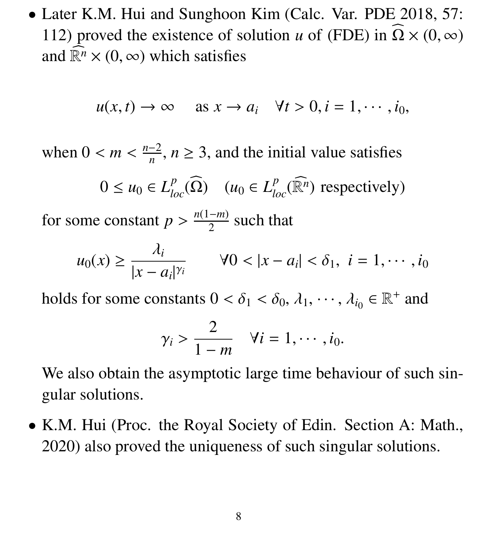• Later K.M. Hui and Sunghoon Kim (Calc. Var. PDE 2018, 57: 112) proved the existence of solution *u* of (FDE) in  $\Omega \times (0, \infty)$ and  $\mathbb{R}^n \times (0, \infty)$  which satisfies

$$
u(x, t) \to \infty
$$
 as  $x \to a_i$   $\forall t > 0, i = 1, \cdots, i_0,$ 

when  $0 < m < \frac{n-2}{n}$  $\frac{-2}{n}$ ,  $n \geq 3$ , and the initial value satisfies

$$
0 \le u_0 \in L^p_{loc}(\Omega) \quad (u_0 \in L^p_{loc}(\widehat{\mathbb{R}^n}) \text{ respectively})
$$

for some constant  $p > \frac{n(1-m)}{2}$  $\frac{-m}{2}$  such that

$$
u_0(x) \ge \frac{\lambda_i}{|x-a_i|^{\gamma_i}} \qquad \forall 0 < |x-a_i| < \delta_1, \ i=1,\cdots,i_0
$$

holds for some constants  $0 < \delta_1 < \delta_0$ ,  $\lambda_1$ ,  $\dots$ ,  $\lambda_{i_0} \in \mathbb{R}^+$  and

$$
\gamma_i > \frac{2}{1-m} \quad \forall i = 1, \cdots, i_0.
$$

We also obtain the asymptotic large time behaviour of such singular solutions.

• K.M. Hui (Proc. the Royal Society of Edin. Section A: Math., 2020) also proved the uniqueness of such singular solutions.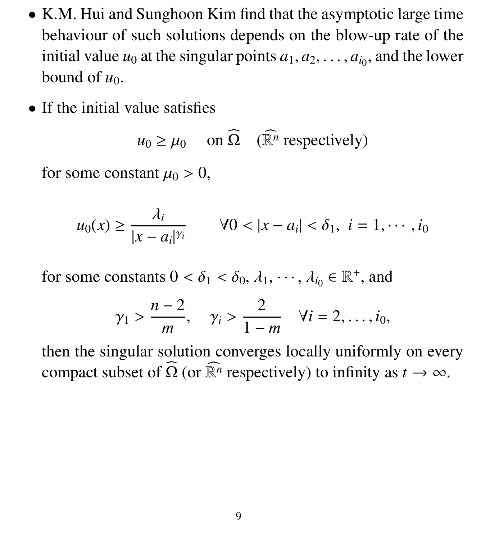- K.M. Hui and Sunghoon Kim find that the asymptotic large time behaviour of such solutions depends on the blow-up rate of the initial value  $u_0$  at the singular points  $a_1, a_2, \ldots, a_{i_0}$ , and the lower bound of  $u_0$ bound of  $u_0$ .
- If the initial value satisfies

$$
u_0 \ge \mu_0
$$
 on  $\widehat{\Omega}$  ( $\widehat{\mathbb{R}^n}$  respectively)

for some constant  $\mu_0 > 0$ ,

$$
u_0(x) \ge \frac{\lambda_i}{|x-a_i|^{\gamma_i}} \qquad \forall 0 < |x-a_i| < \delta_1, \ i=1,\cdots,i_0
$$

for some constants  $0 < \delta_1 < \delta_0$ ,  $\lambda_1$ ,  $\dots$ ,  $\lambda_{i_0} \in \mathbb{R}^+$ , and

$$
\gamma_1 > \frac{n-2}{m}
$$
,  $\gamma_i > \frac{2}{1-m}$   $\forall i = 2, \ldots, i_0$ ,

then the singular solution converges locally uniformly on every compact subset of  $\widehat{\Omega}$  (or  $\widehat{\mathbb{R}^n}$  respectively) to infinity as  $t \to \infty$ .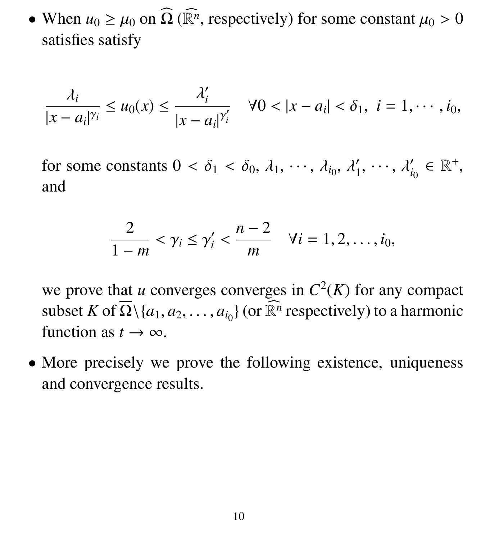• When  $u_0 \ge \mu_0$  on  $\widehat{\Omega}$  ( $\widehat{\mathbb{R}}^n$ , respectively) for some constant  $\mu_0 > 0$ satisfies satisfy

$$
\frac{\lambda_i}{|x-a_i|^{\gamma_i}} \leq u_0(x) \leq \frac{\lambda_i'}{|x-a_i|^{\gamma_i'}} \quad \forall 0 < |x-a_i| < \delta_1, \ i=1,\cdots,i_0,
$$

for some constants  $0 < \delta_1 < \delta_0$ ,  $\lambda_1$ ,  $\cdots$ ,  $\lambda_{i_0}$ ,  $\lambda'_1$ 1  $, \cdots, \lambda'_{i}$  $i_0 \in \mathbb{R}^+,$ and

$$
\frac{2}{1-m} < \gamma_i \leq \gamma'_i < \frac{n-2}{m} \quad \forall i = 1, 2, \ldots, i_0,
$$

we prove that *u* converges converges in  $C^2(K)$  for any compact subset *K* of  $\overline{\Omega} \setminus \{a_1, a_2, \ldots, a_{i_0}\}$  (or  $\widehat{\mathbb{R}^n}$  respectively) to a harmonic function as  $t \to \infty$ function as  $t \to \infty$ .

• More precisely we prove the following existence, uniqueness and convergence results.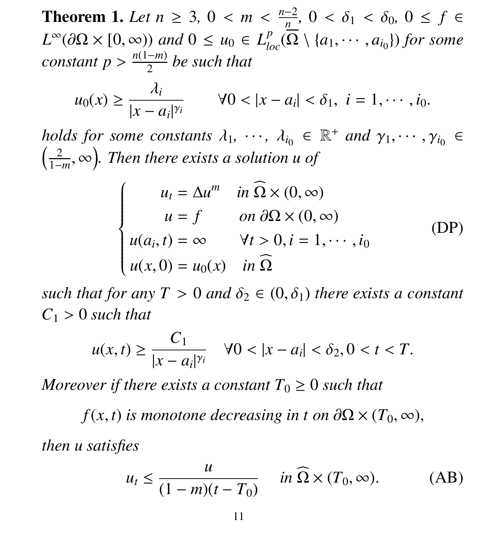**Theorem 1.** *Let n* ≥ 3, 0 < *m* <  $\frac{n-2}{n}$ <br>*I*<sup>∞</sup>(30 × [0 co)) and 0 ≤ *n* =  $I^p$  (0 *n ,*  $0 < \delta_1 < \delta_0$ ,  $0 \le f \in$  $L^{\infty}(\partial\Omega \times [0, \infty))$  *and*  $0 \le u_0 \in L^p_{loc}(\overline{\Omega} \setminus \{a_1, \cdots, a_{i_0}\})$  *for some*<br>constant  $n > \frac{n(1-m)}{p}$  be such that  $constant p > \frac{n(1-m)}{2}$  $\frac{-m}{2}$  be such that

$$
u_0(x) \geq \frac{\lambda_i}{|x-a_i|^{\gamma_i}} \qquad \forall 0 < |x-a_i| < \delta_1, \ i=1,\cdots,i_0.
$$

*holds for some constants*  $\lambda_1, \dots, \lambda_{i_0} \in \mathbb{R}^+$  *and*  $\gamma_1, \dots, \gamma_{i_0} \in$   $(2 \infty)$  Then there exists a solution  $\mu$  of  $\left(\frac{2}{1}\right)$ 1−*m* , ∞ *. Then there exists a solution u of*

$$
\begin{cases}\n u_t = \Delta u^m & \text{in } \Omega \times (0, \infty) \\
 u = f & \text{on } \partial \Omega \times (0, \infty) \\
 u(a_i, t) = \infty & \forall t > 0, i = 1, \cdots, i_0 \\
 u(x, 0) = u_0(x) & \text{in } \Omega\n\end{cases}
$$
\n(DP)

*such that for any*  $T > 0$  *and*  $\delta_2 \in (0, \delta_1)$  *there exists a constant*  $C_1 > 0$  *such that* 

$$
u(x,t) \ge \frac{C_1}{|x - a_i|^{\gamma_i}} \quad \forall 0 < |x - a_i| < \delta_2, 0 < t < T.
$$

*Moreover if there exists a constant*  $T_0 \geq 0$  *such that* 

 $f(x, t)$  *is monotone decreasing in t on*  $\partial\Omega \times (T_0, \infty)$ , *then u satisfies*

$$
u_t \le \frac{u}{(1-m)(t-T_0)} \quad \text{in } \Omega \times (T_0, \infty). \tag{AB}
$$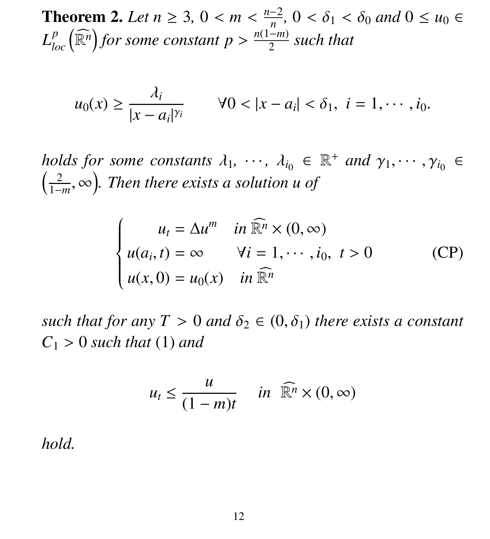**Theorem 2.** Let  $n \geq 3$ ,  $0 < m < \frac{n-2}{n}$ <br> *I*<sup>p</sup>  $(\widehat{\mathbb{R}^n})$  for agree agreement  $n > \frac{n(1-n)}{n}$ *n ,*  $0 < \delta_1 < \delta_0$  *and*  $0 \le u_0 \in$  $L_{loc}^p\left(\widehat{\mathbb{R}^n}\right)$  for some constant  $p > \frac{n(1-m)}{2}$ 2 *such that*

$$
u_0(x) \ge \frac{\lambda_i}{|x - a_i|^{\gamma_i}}
$$
  $\forall 0 < |x - a_i| < \delta_1, i = 1, \cdots, i_0.$ 

*holds for some constants*  $\lambda_1, \dots, \lambda_{i_0} \in \mathbb{R}^+$  *and*  $\gamma_1, \dots, \gamma_{i_0} \in$   $(2 \infty)$  Then there exists a solution  $\mu$  of  $\left(\frac{2}{1}\right)$ 1−*m* , ∞ *. Then there exists a solution u of*

$$
\begin{cases}\n u_t = \Delta u^m & \text{in } \widehat{\mathbb{R}^n} \times (0, \infty) \\
 u(a_i, t) = \infty & \forall i = 1, \cdots, i_0, \ t > 0 \\
 u(x, 0) = u_0(x) & \text{in } \widehat{\mathbb{R}^n}\n\end{cases}
$$
\n(CP)

*such that for any T* > 0 *and*  $\delta_2 \in (0, \delta_1)$  *there exists a constant*  $C_1 > 0$  *such that* (1) *and* 

$$
u_t \le \frac{u}{(1-m)t} \quad in \ \widehat{\mathbb{R}^n} \times (0,\infty)
$$

*hold.*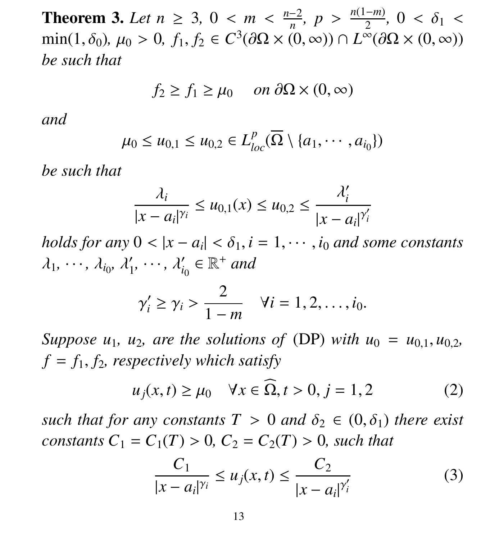**Theorem 3.** *Let*  $n \ge 3$ ,  $0 < m < \frac{n-2}{n}$ <br>min(1.  $\delta_0$ ),  $\mu_0 > 0$ ,  $f_0$ ,  $f_0 \in C^3(\partial \Omega) \times (0)$ *n , p* >  $\frac{n(1-m)}{2}$ <br>(∞)  $\cap I^{\infty}(G)$ 2  $, 0 < \delta_1 <$ <br>  $\Omega \times (0, \infty)$  $\min(1, \delta_0), \mu_0 > 0, f_1, f_2 \in C^3(\partial\Omega \times (0, \infty)) \cap L^{\infty}(\partial\Omega \times (0, \infty))$ <br>he such that *be such that*

$$
f_2 \ge f_1 \ge \mu_0 \quad on \ \partial\Omega \times (0, \infty)
$$

#### *and*

$$
\mu_0 \leq u_{0,1} \leq u_{0,2} \in L^p_{loc}(\overline{\Omega} \setminus \{a_1, \cdots, a_{i_0}\})
$$

*be such that*

$$
\frac{\lambda_i}{|x - a_i|^{\gamma_i}} \le u_{0,1}(x) \le u_{0,2} \le \frac{\lambda'_i}{|x - a_i|^{\gamma'_i}}
$$

*holds for any*  $0 < |x - a_i| < \delta_1$ ,  $i = 1, \dots, i_0$  *and some constants*  $\lambda_1, \cdots, \lambda_{i_0}, \lambda'_1$ 1  $, \cdots, \lambda'_i$  $a'_{i_0} \in \mathbb{R}^+$  and

$$
\gamma'_i \geq \gamma_i > \frac{2}{1-m}
$$
  $\forall i = 1, 2, ..., i_0.$ 

*Suppose*  $u_1$ *,*  $u_2$ *, are the solutions of* (DP) *with*  $u_0 = u_{0,1}$ *,*  $u_{0,2}$ *,*  $f = f_1, f_2$ , respectively which satisfy

$$
u_j(x,t) \ge \mu_0 \quad \forall x \in \Omega, t > 0, j = 1, 2 \tag{2}
$$

*such that for any constants*  $T > 0$  *and*  $\delta_2 \in (0, \delta_1)$  *there exist constants*  $C_1 = C_1(T) > 0$ ,  $C_2 = C_2(T) > 0$ , such that

$$
\frac{C_1}{|x - a_i|^{\gamma_i}} \le u_j(x, t) \le \frac{C_2}{|x - a_i|^{\gamma'_i}}
$$
 (3)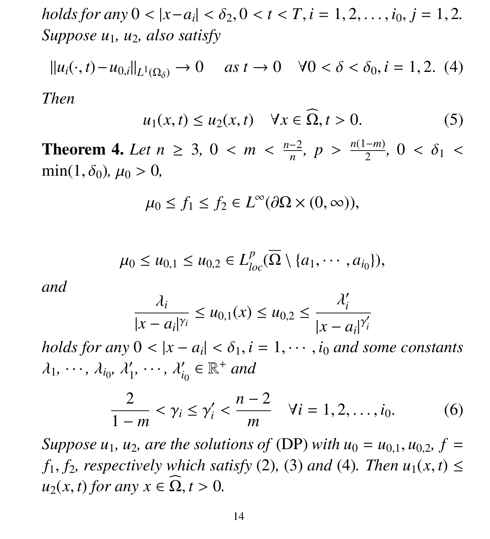$holds for any \ 0 < |x - a_i| < \delta_2, 0 < t < T, i = 1, 2, \ldots, i_0, j = 1, 2.$ *Suppose u*1*, u*2*, also satisfy*

$$
||u_i(\cdot, t) - u_{0,i}||_{L^1(\Omega_\delta)} \to 0 \quad \text{as } t \to 0 \quad \forall 0 < \delta < \delta_0, i = 1, 2. \tag{4}
$$

*Then*

$$
u_1(x,t) \le u_2(x,t) \quad \forall x \in \Omega, t > 0. \tag{5}
$$

**Theorem 4.** *Let n* ≥ 3, 0 < *m* <  $\frac{n-2}{n}$ <br>min(1.δs) *us* > 0 *n ,*  $p > \frac{n(1-m)}{2}$ 2 *,*  $0 < \delta_1 <$  $\min(1, \delta_0)$ ,  $\mu_0 > 0$ ,

$$
\mu_0 \le f_1 \le f_2 \in L^{\infty}(\partial \Omega \times (0, \infty)),
$$

$$
\mu_0 \leq u_{0,1} \leq u_{0,2} \in L^p_{loc}(\overline{\Omega} \setminus \{a_1,\cdots,a_{i_0}\}),
$$

*and*

$$
\frac{\lambda_i}{|x - a_i|^{\gamma_i}} \le u_{0,1}(x) \le u_{0,2} \le \frac{\lambda'_i}{|x - a_i|^{\gamma'_i}}
$$

*holds for any*  $0 < |x - a_i| < \delta_1$ ,  $i = 1, \dots, i_0$  *and some constants*  $\lambda_1, \cdots, \lambda_{i_0}, \lambda'_1$ 1  $, \cdots, \lambda'_{i}$  $a'_{i_0} \in \mathbb{R}^+$  and

$$
\frac{2}{1-m} < \gamma_i \le \gamma_i' < \frac{n-2}{m} \quad \forall i = 1, 2, \dots, i_0. \tag{6}
$$

*Suppose*  $u_1$ *,*  $u_2$ *, are the solutions of* (DP) *with*  $u_0 = u_{0,1}$ *,*  $u_{0,2}$ *,*  $f =$ *f*<sub>1</sub>*, f*<sub>2</sub>*, respectively which satisfy* (2)*,* (3) *and* (4)*. Then*  $u_1(x, t) \le$  $u_2(x, t)$  *for any*  $x \in \Omega, t > 0$ .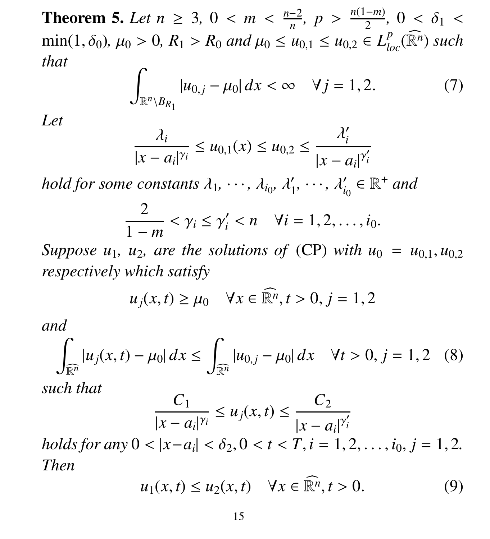**Theorem 5.** *Let*  $n \ge 3$ ,  $0 < m < \frac{n-2}{n}$ <br>min(1.5),  $\mu > 0$ ,  $B > B$ , and  $\mu > \mu$ . *n , p* >  $\frac{n(1-m)}{2}$ 2  $, 0 < \delta_1 <$ <br> $\ell$  ( $\widehat{p_n}$ ) such  $\min(1, \delta_0)$ ,  $\mu_0 > 0$ ,  $R_1 > R_0$  *and*  $\mu_0 \le u_{0,1} \le u_{0,2} \in L^p_{loc}(\widehat{\mathbb{R}^n})$  *such* that *that*

$$
\int_{\mathbb{R}^n \setminus B_{R_1}} |u_{0,j} - \mu_0| \, dx < \infty \quad \forall j = 1, 2. \tag{7}
$$

*Let*

$$
\frac{\lambda_i}{|x-a_i|^{\gamma_i}} \le u_{0,1}(x) \le u_{0,2} \le \frac{\lambda'_i}{|x-a_i|^{\gamma'_i}}
$$

*hold for some constants*  $\lambda_1, \dots, \lambda_{i_0}, \lambda'_1$ 1  $, \cdots, \lambda'_i$  $a'_{i_0} \in \mathbb{R}^+$  and

$$
\frac{2}{1-m} < \gamma_i \leq \gamma'_i < n \quad \forall i = 1, 2, \ldots, i_0.
$$

*Suppose*  $u_1$ *,*  $u_2$ *, are the solutions of* (CP) *with*  $u_0 = u_{0,1}$ *,*  $u_{0,2}$ *respectively which satisfy*

$$
u_j(x,t) \ge \mu_0 \quad \forall x \in \widehat{\mathbb{R}^n}, t > 0, j = 1, 2
$$

*and*

$$
\int_{\overline{\mathbb{R}^n}} |u_j(x, t) - \mu_0| \, dx \le \int_{\overline{\mathbb{R}^n}} |u_{0,j} - \mu_0| \, dx \quad \forall t > 0, j = 1, 2 \quad (8)
$$

*such that*

$$
\frac{C_1}{|x-a_i|^{\gamma_i}} \le u_j(x,t) \le \frac{C_2}{|x-a_i|^{\gamma}}
$$

 $\text{holds for any } 0 < |x - a_i| < \delta_2, 0 < t < T, i = 1, 2, \ldots, i_0, j = 1, 2.$ <br> *Then Then*

$$
u_1(x,t) \le u_2(x,t) \quad \forall x \in \widehat{\mathbb{R}^n}, t > 0. \tag{9}
$$

 $\overline{\phantom{0}}$ *i*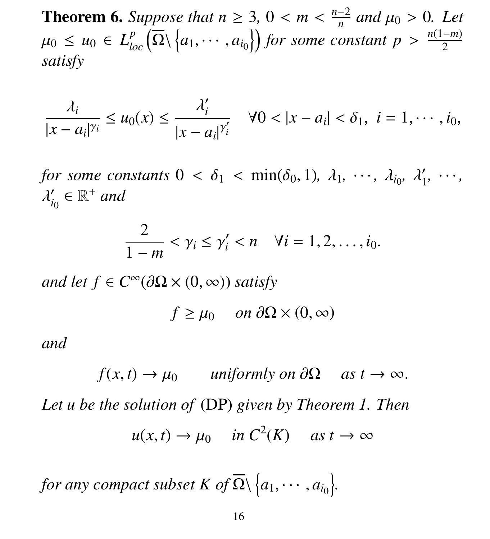**Theorem 6.** *Suppose that*  $n \geq 3$ ,  $0 < m < \frac{n-2}{n}$ *n and*  $\mu_0 > 0$ *. Let*<br>*atast x* >  $n(1-m)$  $\mu_0 \leq \mu_0 \in L^p_{loc}(\overline{\Omega} \setminus \{a_1, \cdots, a_{i_0}\})$  for some constant  $p > \frac{n(1-m)}{2}$ 2 *satisfy*

$$
\frac{\lambda_i}{|x-a_i|^{\gamma_i}} \leq u_0(x) \leq \frac{\lambda_i'}{|x-a_i|^{\gamma_i'}} \quad \forall 0 < |x-a_i| < \delta_1, \ i=1,\cdots,i_0,
$$

*for some constants*  $0 < \delta_1 < \min(\delta_0, 1)$ ,  $\lambda_1, \dots, \lambda_{i_0}, \lambda'_1$ <br>  $\lambda' \in \mathbb{R}^+$  and 1 *,* · · · *,*  $\overline{\phantom{0}}$  $a'_{i_0} \in \mathbb{R}^+$  and

$$
\frac{2}{1-m} < \gamma_i \leq \gamma'_i < n \quad \forall i = 1, 2, \ldots, i_0.
$$

 $and let f ∈ C<sup>∞</sup>( $\partial\Omega$  × (0, ∞)) *satisfy*$ 

$$
f \ge \mu_0 \quad on \ \partial\Omega \times (0, \infty)
$$

*and*

 $f(x, t) \rightarrow \mu_0$  *uniformly on*  $\partial \Omega$  *as*  $t \rightarrow \infty$ . *Let u be the solution of* (DP) *given by Theorem 1. Then*  $u(x, t) \to \mu_0$  *in*  $C^2(K)$  *as*  $t \to \infty$ 

*for any compact subset K of*  $\overline{\Omega} \setminus \Big\{a_1, \cdots, a_{i_0}\Big\}$ .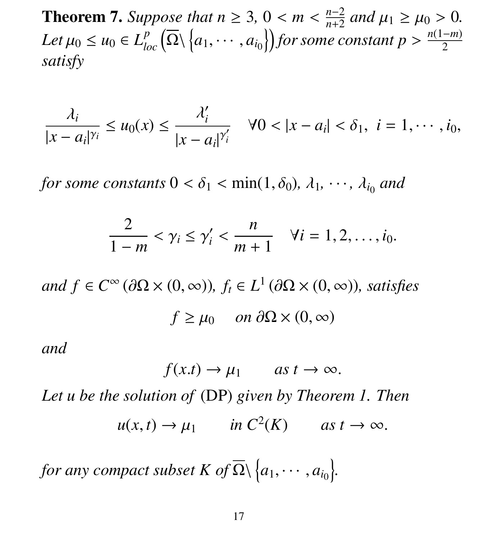**Theorem 7.** *Suppose that*  $n \geq 3$ ,  $0 < m < \frac{n-2}{n+2}$ <br>*L t i*  $\leq$  *i s i l s i l s i l for some s n*+2 *and*  $\mu_1 \ge \mu_0 > 0$ . *Let*  $\mu_0 \leq u_0 \in L_{loc}^p(\overline{\Omega} \setminus \{a_1, \dots, a_{i_0}\})$  *for some constant*  $p > \frac{n(1-m)}{2}$ 2 *satisfy*

$$
\frac{\lambda_i}{|x-a_i|^{\gamma_i}} \leq u_0(x) \leq \frac{\lambda_i'}{|x-a_i|^{\gamma_i'}} \quad \forall 0 < |x-a_i| < \delta_1, \ i=1,\cdots,i_0,
$$

*for some constants*  $0 < \delta_1 < \min(1, \delta_0)$ ,  $\lambda_1, \dots, \lambda_{i_0}$  and

$$
\frac{2}{1-m}<\gamma_i\leq \gamma'_i<\frac{n}{m+1}\quad\forall i=1,2,\ldots,i_0.
$$

 $and f \in C^{\infty}(\partial\Omega \times (0,\infty)), f_t \in L^1(\partial\Omega \times (0,\infty)),$  satisfies  $f \geq \mu_0$  *on*  $\partial \Omega \times (0, \infty)$ 

*and*

$$
f(x,t) \to \mu_1
$$
 as  $t \to \infty$ .

*Let u be the solution of* (DP) *given by Theorem 1. Then*  $u(x, t) \to \mu_1$  *in*  $C^2(K)$  *as*  $t \to \infty$ .

*for any compact subset K of*  $\overline{\Omega} \setminus \Big\{a_1, \cdots, a_{i_0}\Big\}$ .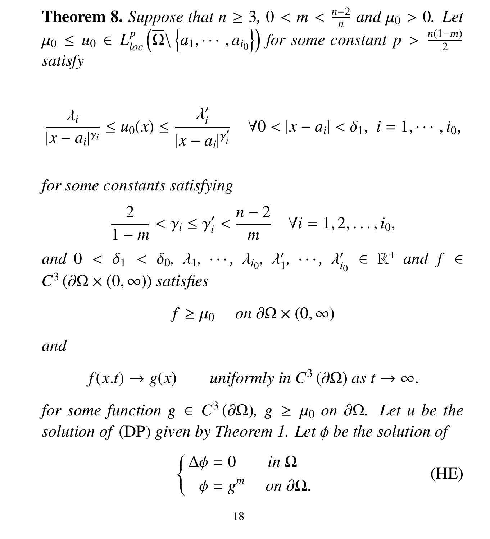**Theorem 8.** *Suppose that*  $n \geq 3$ ,  $0 < m < \frac{n-2}{n}$ *n and*  $\mu_0 > 0$ *. Let*<br>*atast x* >  $n(1-m)$  $\mu_0 \leq \mu_0 \in L^p_{loc}(\overline{\Omega} \setminus \{a_1, \cdots, a_{i_0}\})$  for some constant  $p > \frac{n(1-m)}{2}$ 2 *satisfy*

$$
\frac{\lambda_i}{|x-a_i|^{\gamma_i}} \leq u_0(x) \leq \frac{\lambda'_i}{|x-a_i|^{\gamma'_i}} \quad \forall 0 < |x-a_i| < \delta_1, \ i=1,\cdots,i_0,
$$

*for some constants satisfying*

$$
\frac{2}{1-m} < \gamma_i \leq \gamma'_i < \frac{n-2}{m} \quad \forall i = 1, 2, \ldots, i_0,
$$

*and*  $0 < \delta_1 < \delta_0$ ,  $\lambda_1$ ,  $\cdots$ ,  $\lambda_{i_0}$ ,  $\lambda'_1$ 1 ,  $\cdots$ ,  $\lambda'_{i}$  $C_{i_0} \in \mathbb{R}^+$  *and*  $f \in$  $C^3$  ( $\partial\Omega \times (0, \infty)$ ) *satisfies* 

$$
f \ge \mu_0 \quad on \ \partial\Omega \times (0, \infty)
$$

*and*

 $f(x,t) \to g(x)$  *uniformly in*  $C^3(\partial\Omega)$  *as*  $t \to \infty$ .

*for some function g*  $\in C^3(\partial\Omega)$ , *g*  $\geq \mu_0$  *on*  $\partial\Omega$ *. Let u be the*<br>solution of (DP) given by Theorem 1. Let  $\phi$  be the solution of *solution of* (DP) *given by Theorem 1. Let* φ *be the solution of*

$$
\begin{cases}\n\Delta \phi = 0 & \text{in } \Omega \\
\phi = g^m & \text{on } \partial \Omega.\n\end{cases}
$$
\n(HE)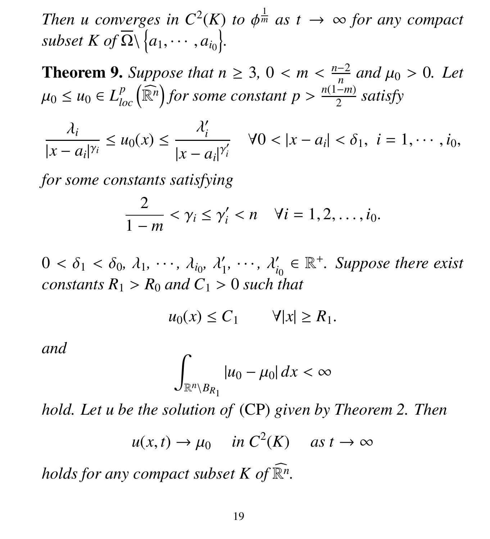*Then u converges in*  $C^2(K)$  *to*  $\phi^{\frac{1}{m}}$  *as*  $t \to \infty$  *for any compact* subset  $K$  of  $\overline{O}$   $\setminus$  *a<sub>t</sub> x a*<sub>*x*</sub> *l*  $\mathit{subset } K \ of \overline{\Omega} \setminus \Big\{a_1, \cdots, a_{i_0}\Big\}.$ 

**Theorem 9.** Suppose that  $n \geq 3$ ,  $0 < m < \frac{n-2}{n}$ <br>*n*  $\leq m \leq L^p$  ( $\widehat{m_n}$ ) for some senstant  $n > \frac{n(1-n)}{n}$ *n and*  $\mu_0 > 0$ *. Let*  $\mu_0$  ≤  $\mu_0$  ∈  $L^p_{loc}(\widehat{\mathbb{R}^n})$  for some constant  $p > \frac{n(1-m)}{2}$ 2 *satisfy*

λ*i*  $|x - a_i|^{\gamma_i}$ |  $\leq u_0(x) \leq \frac{1}{\sqrt{2\pi}}$  $\overline{\phantom{0}}$ *i*  $|x - a_i|^{\gamma}$  $\overline{\phantom{0}}$  $\frac{1}{i}$   $\forall 0 < |x - a_i| < \delta_1, i = 1, \cdots, i_0,$ 

*for some constants satisfying*

$$
\frac{2}{1-m} < \gamma_i \leq \gamma'_i < n \quad \forall i = 1, 2, \ldots, i_0.
$$

 $0 < \delta_1 < \delta_0, \lambda_1, \dots, \lambda_{i_0}, \lambda'_1$ <br>constants  $P_i > P_i$  and  $C_i >$ 1  $\lambda'_i$ <br>  $\lambda'_i$  $C_{i_0} \in \mathbb{R}^+$ *. Suppose there exist constants*  $R_1 > R_0$  *and*  $C_1 > 0$  *such that* 

$$
u_0(x) \le C_1 \qquad \forall |x| \ge R_1.
$$

*and*

$$
\int_{\mathbb{R}^n \setminus B_{R_1}} |u_0 - \mu_0| \, dx < \infty
$$

*hold. Let u be the solution of* (CP) *given by Theorem 2. Then*

$$
u(x,t) \to \mu_0 \quad \text{in } C^2(K) \quad \text{as } t \to \infty
$$

*holds for any compact subset K of*  $\widehat{\mathbb{R}^n}$ .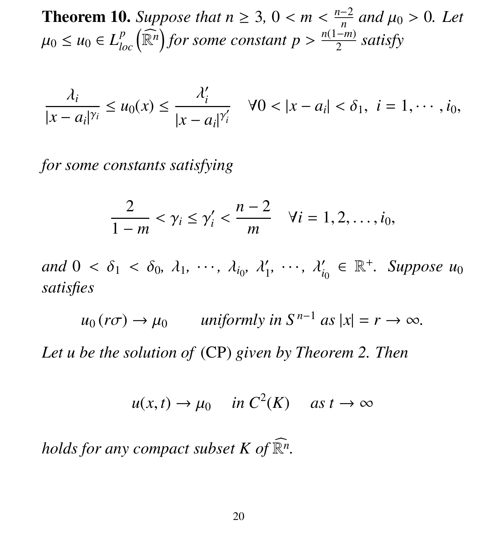**Theorem 10.** *Suppose that*  $n \geq 3$ ,  $0 < m < \frac{n-2}{n}$ <br>*n*  $\leq m \leq L^p$  ( $\widehat{p_n}$ ) for some assets that  $n > \frac{n(1-m)}{n}$ *n and*  $\mu_0 > 0$ *. Let*  $\mu_0$  ≤  $\mu_0$  ∈  $L^p_{loc}(\widehat{\mathbb{R}^n})$  for some constant  $p > \frac{n(1-m)}{2}$ 2 *satisfy*

$$
\frac{\lambda_i}{|x-a_i|^{\gamma_i}} \leq u_0(x) \leq \frac{\lambda_i'}{|x-a_i|^{\gamma_i'}} \quad \forall 0 < |x-a_i| < \delta_1, \ i=1,\cdots,i_0,
$$

*for some constants satisfying*

$$
\frac{2}{1-m}<\gamma_i\leq \gamma_i'<\frac{n-2}{m}\quad \forall i=1,2,\ldots,i_0,
$$

*and*  $0 < \delta_1 < \delta_0$ ,  $\lambda_1$ ,  $\cdots$ ,  $\lambda_{i_0}$ ,  $\lambda'_1$ 1  $, \cdots, \lambda'_i$  $C_{i_0} \in \mathbb{R}^+$ *. Suppose*  $u_0$ *satisfies*

 $u_0$  ( $r\sigma$ )  $\rightarrow \mu_0$  *uniformly in*  $S^{n-1}$  *as*  $|x| = r \rightarrow \infty$ *.* 

*Let u be the solution of* (CP) *given by Theorem 2. Then*

$$
u(x,t) \to \mu_0 \quad \text{in } C^2(K) \quad \text{as } t \to \infty
$$

*holds for any compact subset K of*  $\widehat{\mathbb{R}^n}$ .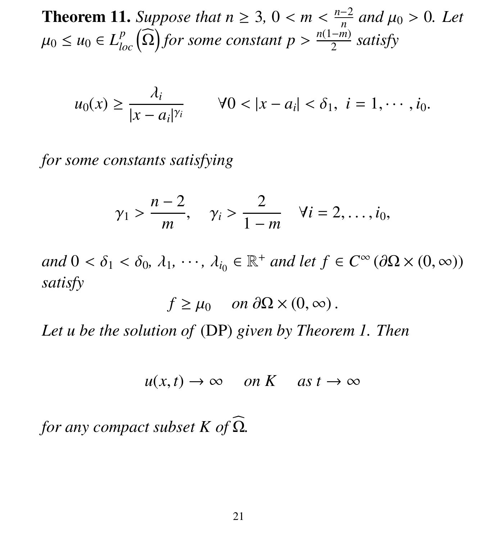**Theorem 11.** *Suppose that*  $n \geq 3$ ,  $0 < m < \frac{n-2}{n}$ *n and*  $\mu_0 > 0$ *. Let*  $\mu_0$  ≤  $\mu_0$  ∈  $L^p_{loc}(\widehat{\Omega})$  for some constant  $p > \frac{n(1-m)}{2}$ 2 *satisfy*

$$
u_0(x) \ge \frac{\lambda_i}{|x - a_i|^{\gamma_i}}
$$
  $\forall 0 < |x - a_i| < \delta_1, i = 1, \cdots, i_0.$ 

*for some constants satisfying*

$$
\gamma_1 > \frac{n-2}{m}
$$
,  $\gamma_i > \frac{2}{1-m}$   $\forall i = 2, \ldots, i_0$ ,

*and*  $0 < \delta_1 < \delta_0$ ,  $\lambda_1$ ,  $\dots$ ,  $\lambda_{i_0} \in \mathbb{R}^+$  *and let*  $f \in C^\infty(\partial\Omega \times (0, \infty))$ *satisfy*

$$
f \ge \mu_0
$$
 on  $\partial\Omega \times (0, \infty)$ .

*Let u be the solution of* (DP) *given by Theorem 1. Then*

$$
u(x,t) \to \infty \quad on \ K \quad as \ t \to \infty
$$

*for any compact subset K of*  $\Omega$ *.*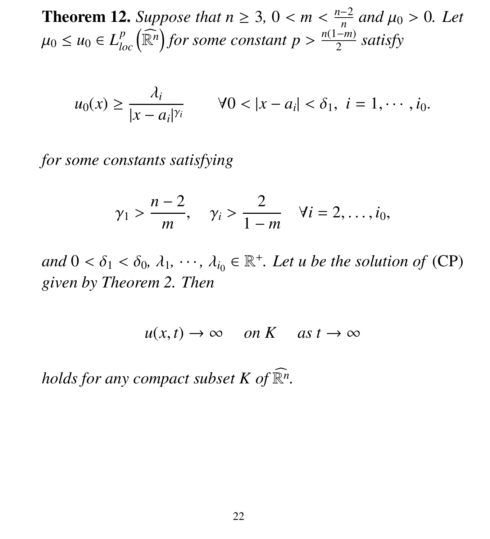**Theorem 12.** *Suppose that*  $n \geq 3$ ,  $0 < m < \frac{n-2}{n}$ <br>*n*  $\leq m \leq L^p$  ( $\widehat{p_n}$ ) for some assets that  $n > \frac{n(1-m)}{n}$ *n and*  $\mu_0 > 0$ *. Let*  $\mu_0$  ≤  $\mu_0$  ∈  $L^p_{loc}(\widehat{\mathbb{R}^n})$  for some constant  $p > \frac{n(1-m)}{2}$ 2 *satisfy*

$$
u_0(x) \ge \frac{\lambda_i}{|x - a_i|^{\gamma_i}}
$$
  $\forall 0 < |x - a_i| < \delta_1, i = 1, \cdots, i_0.$ 

*for some constants satisfying*

$$
\gamma_1 > \frac{n-2}{m}
$$
,  $\gamma_i > \frac{2}{1-m}$   $\forall i = 2, \ldots, i_0$ ,

*and*  $0 < \delta_1 < \delta_0$ ,  $\lambda_1$ ,  $\cdots$ ,  $\lambda_{i_0} \in \mathbb{R}^+$ . Let *u* be the solution of (CP) *aiven by Theorem 2. Then given by Theorem 2. Then*

 $u(x, t) \to \infty$  *on K* as  $t \to \infty$ 

*holds for any compact subset K of*  $\widehat{\mathbb{R}^n}$ .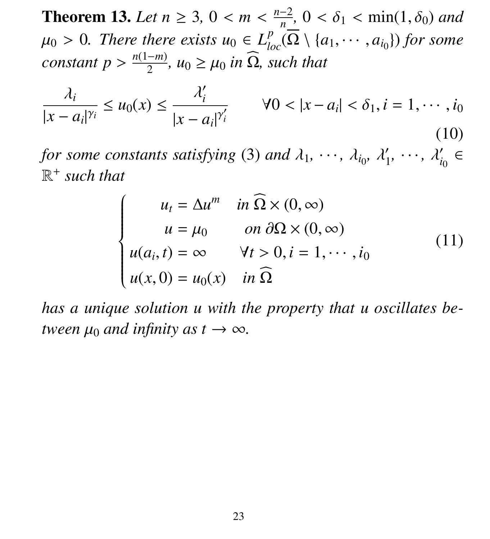**Theorem 13.** Let  $n \geq 3$ ,  $0 < m < \frac{n-2}{n}$ <br>*u* > 0. There there exists  $u \in L^p$ *n*  $\overline{\mathcal{O}}$ ,  $0 < \delta_1 < \min(1, \delta_0)$  and  $\mu_0 > 0$ . There there exists  $u_0 \in L^p_{loc}(\overline{\Omega} \setminus \{a_1, \dots, a_{i_0}\})$  for some existent  $n > \frac{n(1-m)}{n}$  is  $\widehat{\Omega}$  exists that  $constant p > \frac{n(1-m)}{2}$ 2 *,*  $u_0 \geq \mu_0$  *in*  $\Omega$ *, such that* 

$$
\frac{\lambda_i}{|x - a_i|^{\gamma_i}} \le u_0(x) \le \frac{\lambda'_i}{|x - a_i|^{\gamma'_i}} \qquad \forall 0 < |x - a_i| < \delta_1, i = 1, \cdots, i_0
$$
\n(10)

*for some constants satisfying* (3) *and*  $\lambda_1, \dots, \lambda_{i_0}, \lambda'_1$ <br> $\mathbb{R}^+$  such that 1  $, \cdots, \lambda'_i$  $i_0' \in$ R + *such that*

$$
\begin{cases}\n u_t = \Delta u^m & \text{in } \Omega \times (0, \infty) \\
 u = \mu_0 & \text{on } \partial \Omega \times (0, \infty) \\
 u(a_i, t) = \infty & \forall t > 0, i = 1, \cdots, i_0 \\
 u(x, 0) = u_0(x) & \text{in } \Omega\n\end{cases}
$$
\n(11)

*has a unique solution u with the property that u oscillates between*  $\mu_0$  *and infinity as t*  $\rightarrow \infty$ *.*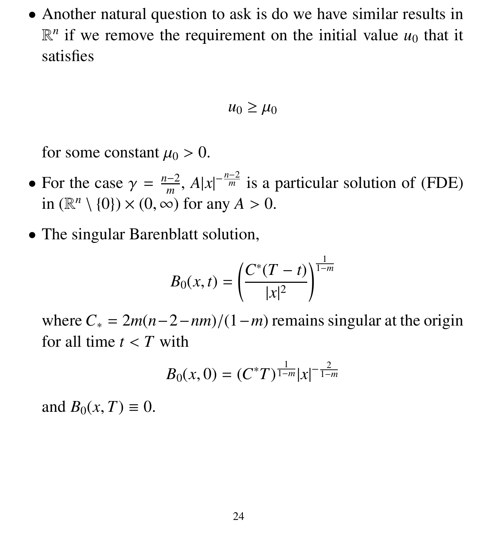• Another natural question to ask is do we have similar results in  $\mathbb{R}^n$  if we remove the requirement on the initial value  $u_0$  that it satisfies

$$
u_0 \geq \mu_0
$$

for some constant  $\mu_0 > 0$ .

- For the case  $\gamma = \frac{n-2}{m}$ <br>in  $(\mathbb{R}^n \setminus \{0\}) \times (0, \infty)$  $\frac{n-2}{m}$ , *A*|*x*|<sup>- $\frac{n-2}{m}$  is a particular solution of (FDE)</sup> in  $(\mathbb{R}^n \setminus \{0\}) \times (0, \infty)$  for any  $A > 0$ .
- The singular Barenblatt solution,

$$
B_0(x,t) = \left(\frac{C^*(T-t)}{|x|^2}\right)^{\frac{1}{1-m}}
$$

where  $C_* = 2m(n-2-nm)/(1-m)$  remains singular at the origin for all time  $t < T$  with

$$
B_0(x,0)=(C^*T)^{\frac{1}{1-m}}|x|^{-\frac{2}{1-m}}
$$

and  $B_0(x, T) \equiv 0$ .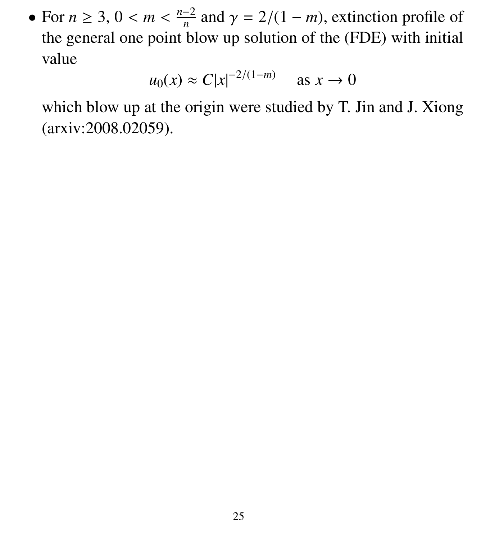• For  $n \geq 3$ ,  $0 < m < \frac{n-2}{n}$ <br>the general one point b *n* and  $\gamma = 2/(1 - m)$ , extinction profile of<br>ow up solution of the (EDF) with initial the general one point blow up solution of the (FDE) with initial value

$$
u_0(x) \approx C|x|^{-2/(1-m)} \quad \text{as } x \to 0
$$

which blow up at the origin were studied by T. Jin and J. Xiong (arxiv:2008.02059).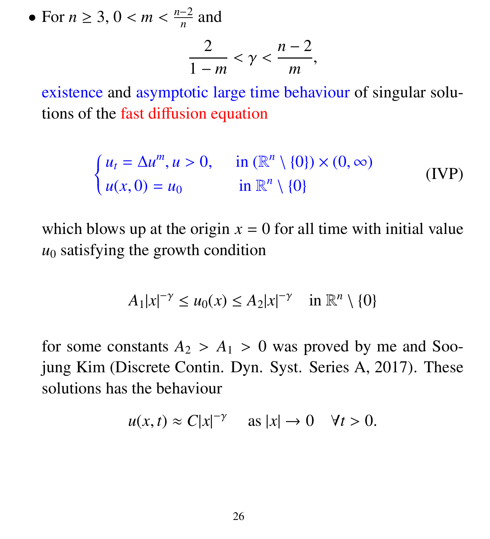• For *<sup>n</sup>* <sup>≥</sup> 3, 0 < *<sup>m</sup>* < *n*−2  $\frac{1}{n}$  and

$$
\frac{2}{1-m} < \gamma < \frac{n-2}{m},
$$

existence and asymptotic large time behaviour of singular solutions of the fast diffusion equation

$$
\begin{cases}\n u_t = \Delta u^m, u > 0, & \text{in } (\mathbb{R}^n \setminus \{0\}) \times (0, \infty) \\
 u(x, 0) = u_0 & \text{in } \mathbb{R}^n \setminus \{0\}\n\end{cases}
$$
\n(IVP)

which blows up at the origin  $x = 0$  for all time with initial value  $u_0$  satisfying the growth condition

$$
A_1|x|^{-\gamma} \le u_0(x) \le A_2|x|^{-\gamma} \quad \text{in } \mathbb{R}^n \setminus \{0\}
$$

for some constants  $A_2 > A_1 > 0$  was proved by me and Soojung Kim (Discrete Contin. Dyn. Syst. Series A, 2017). These solutions has the behaviour

$$
u(x,t) \approx C|x|^{-\gamma} \quad \text{as } |x| \to 0 \quad \forall t > 0.
$$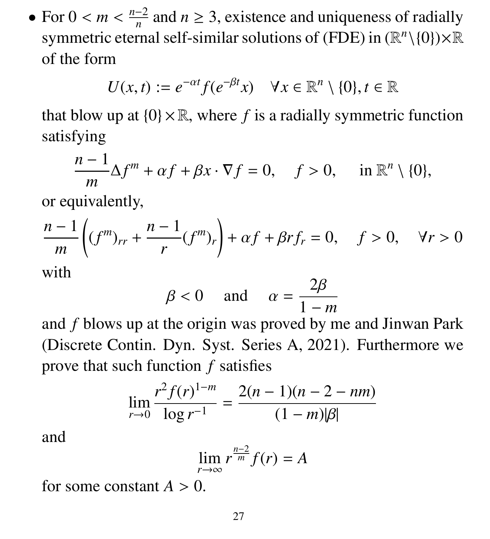• For  $0 < m < \frac{n-2}{n}$ <br>symmetric etern  $\frac{-2}{n}$  and  $n \geq 3$ , existence and uniqueness of radially symmetric eternal self-similar solutions of (FDE) in  $(\mathbb{R}^n \setminus \{0\}) \times \mathbb{R}$ of the form

$$
U(x,t) := e^{-\alpha t} f(e^{-\beta t} x) \quad \forall x \in \mathbb{R}^n \setminus \{0\}, t \in \mathbb{R}
$$

that blow up at  $\{0\} \times \mathbb{R}$ , where f is a radially symmetric function satisfying

$$
\frac{n-1}{m}\Delta f^{m} + \alpha f + \beta x \cdot \nabla f = 0, \quad f > 0, \quad \text{in } \mathbb{R}^{n} \setminus \{0\},
$$

or equivalently,

$$
\frac{n-1}{m}\bigg((f^m)_{rr} + \frac{n-1}{r}(f^m)_r\bigg) + \alpha f + \beta r f_r = 0, \quad f > 0, \quad \forall r > 0
$$

with

$$
\beta < 0 \quad \text{and} \quad \alpha = \frac{2\beta}{1 - m}
$$

and *f* blows up at the origin was proved by me and Jinwan Park (Discrete Contin. Dyn. Syst. Series A, 2021). Furthermore we prove that such function *f* satisfies

$$
\lim_{r \to 0} \frac{r^2 f(r)^{1-m}}{\log r^{-1}} = \frac{2(n-1)(n-2-nm)}{(1-m)|\beta|}
$$

and

$$
\lim_{r \to \infty} r^{\frac{n-2}{m}} f(r) = A
$$

for some constant  $A > 0$ .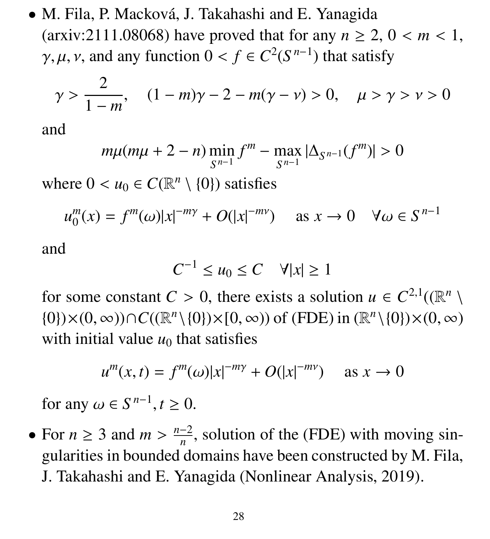• M. Fila, P. Macková, J. Takahashi and E. Yanagida (arxiv:2111.08068) have proved that for any  $n \ge 2$ ,  $0 < m < 1$ ,  $\gamma, \mu, \nu$ , and any function  $0 < f \in C^2(S^{n-1})$  that satisfy

$$
\gamma > \frac{2}{1 - m}, \quad (1 - m)\gamma - 2 - m(\gamma - \nu) > 0, \quad \mu > \gamma > \nu > 0
$$

and

$$
m\mu(m\mu+2-n)\min_{S^{n-1}}f^m-\max_{S^{n-1}}|\Delta_{S^{n-1}}(f^m)|>0
$$

where  $0 < u_0 \in C(\mathbb{R}^n \setminus \{0\})$  satisfies

$$
u_0^m(x) = f^m(\omega)|x|^{-m\gamma} + O(|x|^{-m\gamma}) \quad \text{as } x \to 0 \quad \forall \omega \in S^{n-1}
$$

and

$$
C^{-1} \le u_0 \le C \quad \forall |x| \ge 1
$$

for some constant  $C > 0$ , there exists a solution  $u \in C^{2,1}((\mathbb{R}^n \setminus 10)) \times (0, \infty)) \cap C((\mathbb{R}^n \setminus 10)) \times (0, \infty))$  of  $(FDE)$  in  $(\mathbb{R}^n \setminus 10) \times (0, \infty)$  $(0)$  × (0, ∞))  $\cap C((\mathbb{R}^n \setminus \{0\}) \times [0, \infty))$  of (FDE) in  $(\mathbb{R}^n \setminus \{0\}) \times (0, \infty)$ <br>with initial value  $u_0$  that satisfies with initial value  $u_0$  that satisfies

$$
u^m(x,t) = f^m(\omega)|x|^{-m\gamma} + O(|x|^{-m\gamma}) \quad \text{as } x \to 0
$$

for any  $\omega \in S^{n-1}, t \ge 0$ .

• For  $n \geq 3$  and  $m > \frac{n-2}{n}$ <br>cularities in bounded d  $\frac{-2}{n}$ , solution of the (FDE) with moving singularities in bounded domains have been constructed by M. Fila, J. Takahashi and E. Yanagida (Nonlinear Analysis, 2019).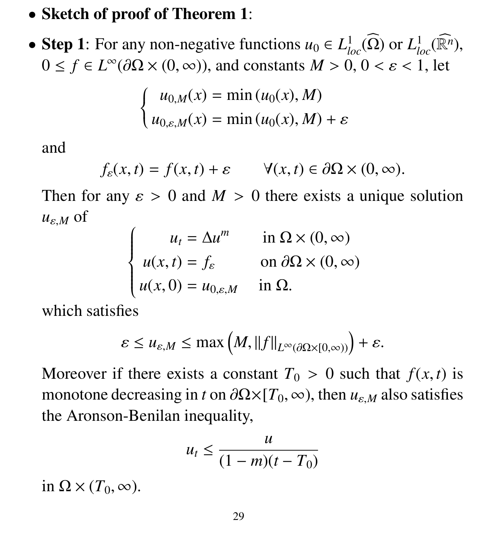## • Sketch of proof of Theorem 1:

• Step 1: For any non-negative functions  $u_0 \in L^1_{loc}(\widehat{\Omega})$  or  $L^1_{loc}(\widehat{\mathbb{R}^n})$ ,  $0 \le f \in L^{\infty}(\partial\Omega \times (0,\infty))$ , and constants  $M > 0, 0 < \varepsilon < 1$ , let

$$
\begin{cases}\n u_{0,M}(x) = \min(u_0(x), M) \\
 u_{0,\varepsilon,M}(x) = \min(u_0(x), M) + \varepsilon\n\end{cases}
$$

and

$$
f_{\varepsilon}(x,t) = f(x,t) + \varepsilon \qquad \forall (x,t) \in \partial\Omega \times (0,\infty).
$$

Then for any  $\varepsilon > 0$  and  $M > 0$  there exists a unique solution  $u_{\varepsilon,M}$  of

| $u_t = \Delta u^m$                                                                       | in $\Omega \times (0, \infty)$      |
|------------------------------------------------------------------------------------------|-------------------------------------|
|                                                                                          | on $\partial\Omega\times(0,\infty)$ |
| $\begin{cases}\n u(x,t) = f_{\varepsilon} \\  u(x,0) = u_{0,\varepsilon,M}\n\end{cases}$ | in $\Omega$ .                       |
|                                                                                          |                                     |

which satisfies

$$
\varepsilon \le u_{\varepsilon,M} \le \max\left(M, \|f\|_{L^\infty(\partial\Omega \times [0,\infty))}\right) + \varepsilon.
$$

Moreover if there exists a constant  $T_0 > 0$  such that  $f(x, t)$  is monotone decreasing in *t* on  $\partial \Omega \times [T_0, \infty)$ , then  $u_{\varepsilon,M}$  also satisfies the Aronson-Benilan inequality,

$$
u_t \leq \frac{u}{(1-m)(t-T_0)}
$$

in  $\Omega \times (T_0, \infty)$ .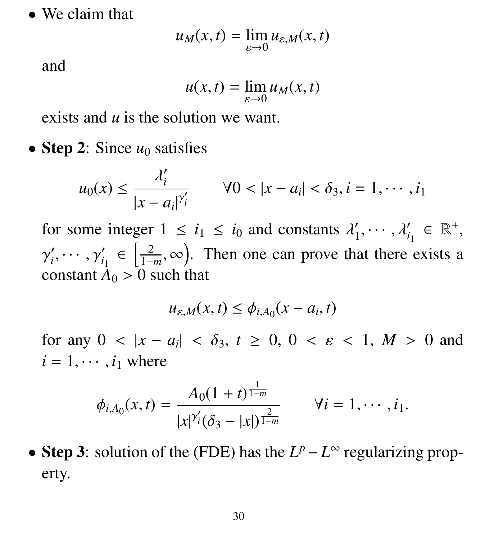• We claim that

$$
u_M(x,t) = \lim_{\varepsilon \to 0} u_{\varepsilon,M}(x,t)
$$

and

$$
u(x,t) = \lim_{\varepsilon \to 0} u_M(x,t)
$$

exists and *u* is the solution we want.

• Step 2: Since  $u_0$  satisfies

$$
u_0(x) \le \frac{\lambda'_i}{|x - a_i|^{\gamma'_i}}
$$
  $\forall 0 < |x - a_i| < \delta_3, i = 1, \cdots, i_1$ 

for some integer  $1 \le i_1 \le i_0$  and constants  $\lambda'_1$ 1  $, \cdots, \lambda_{i_1}' \in \mathbb{R}^+,$  $\frac{1}{2}$  $\prime$ *i*  $,\cdots,\gamma_{i_1}'\in\left[\frac{2}{1-i}\right]$ 1−*m*  $(\infty)$ . Then one can prove that there exists a constant  $A_0 > 0$  such that

$$
u_{\varepsilon,M}(x,t) \le \phi_{i,A_0}(x-a_i,t)
$$

for any  $0 < |x - a_i| < \delta_3$ ,  $t \ge 0$ ,  $0 < \varepsilon < 1$ ,  $M > 0$  and  $i = 1, j = i$ , where  $i = 1, \dots, i_1$  where

$$
\phi_{i,A_0}(x,t)=\frac{A_0(1+t)^{\frac{1}{1-m}}}{|x|^{\gamma'_i}(\delta_3-|x|)^{\frac{2}{1-m}}}\qquad\forall i=1,\cdots,i_1.
$$

• Step 3: solution of the (FDE) has the  $L^p - L^\infty$  regularizing property.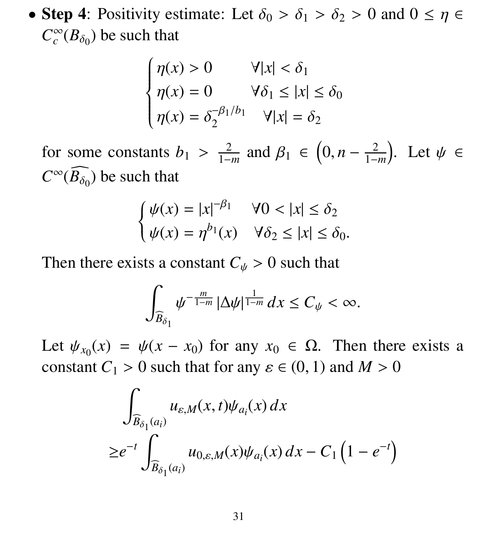• Step 4: Positivity estimate: Let  $\delta_0 > \delta_1 > \delta_2 > 0$  and  $0 \le \eta \in$  $C_c^{\infty}$  $\int_{c}^{\infty} (B_{\delta_0})$  be such that

$$
\begin{cases}\n\eta(x) > 0 & \forall |x| < \delta_1 \\
\eta(x) = 0 & \forall \delta_1 \le |x| \le \delta_0 \\
\eta(x) = \delta_2^{-\beta_1/b_1} & \forall |x| = \delta_2\n\end{cases}
$$

for some constants  $b_1 > \frac{2}{1-\alpha}$ 1−*m* and  $\beta_1 \in (0, n - \frac{2}{1 - \alpha})$ 1−*m* ). Let  $\psi \in$  $C^{\infty}(\widehat{B_{\delta_0}})$  be such that

$$
\begin{cases}\n\psi(x) = |x|^{-\beta_1} & \forall 0 < |x| \le \delta_2 \\
\psi(x) = \eta^{b_1}(x) & \forall \delta_2 \le |x| \le \delta_0.\n\end{cases}
$$

Then there exists a constant  $C_{\psi} > 0$  such that

$$
\int_{\widehat{B}_{\delta_1}} \psi^{-\frac{m}{1-m}} |\Delta \psi|^{\frac{1}{1-m}} dx \leq C_{\psi} < \infty.
$$

Let  $\psi_{x_0}(x) = \psi(x - x_0)$  for any  $x_0 \in \Omega$ . Then there exists a constant  $C_1 > 0$  such that for any  $c \in (0, 1)$  and  $M > 0$ constant  $C_1 > 0$  such that for any  $\varepsilon \in (0, 1)$  and  $M > 0$ 

$$
\int_{\widehat{B}_{\delta_1}(a_i)} u_{\varepsilon,M}(x,t)\psi_{a_i}(x) dx
$$
  
\n
$$
\geq e^{-t} \int_{\widehat{B}_{\delta_1}(a_i)} u_{0,\varepsilon,M}(x)\psi_{a_i}(x) dx - C_1 \left(1 - e^{-t}\right)
$$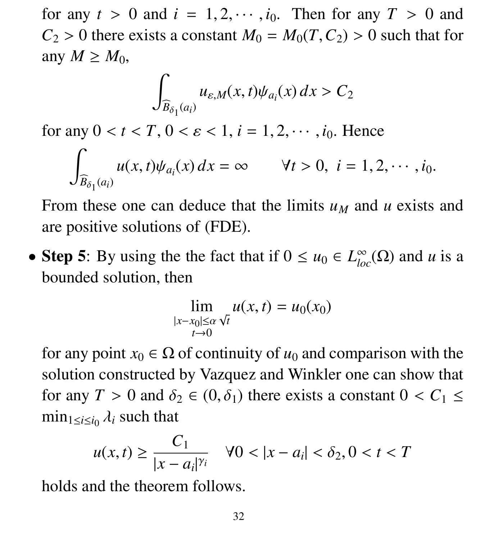for any  $t > 0$  and  $i = 1, 2, \dots, i_0$ . Then for any  $T > 0$  and  $C_2 > 0$  there exists a constant  $M_0 = M_0(T, C_2) > 0$  such that for any  $M \geq M_0$ ,

$$
\int_{\widehat{B}_{\delta_1}(a_i)} u_{\varepsilon,M}(x,t)\psi_{a_i}(x)\,dx > C_2
$$

for any  $0 < t < T$ ,  $0 < \varepsilon < 1$ ,  $i = 1, 2, \dots, i_0$ . Hence  $\overline{a}$ 

$$
\int_{\widehat{B}_{\delta_1}(a_i)} u(x,t)\psi_{a_i}(x) dx = \infty \qquad \forall t > 0, \ i = 1, 2, \cdots, i_0.
$$

From these one can deduce that the limits  $u_M$  and  $u$  exists and are positive solutions of (FDE).

• Step 5: By using the the fact that if  $0 \le u_0 \in L^{\infty}_{loc}(\Omega)$  and *u* is a bounded solution, then

$$
\lim_{\substack{|x-x_0|\leq \alpha\\ t\to 0}} u(x,t) = u_0(x_0)
$$

for any point  $x_0 \in \Omega$  of continuity of  $u_0$  and comparison with the solution constructed by Vazquez and Winkler one can show that for any  $T > 0$  and  $\delta_2 \in (0, \delta_1)$  there exists a constant  $0 < C_1 \le$  $\min_{1 \le i \le i_0} \lambda_i$  such that

$$
u(x,t) \ge \frac{C_1}{|x - a_i|^{\gamma_i}} \quad \forall 0 < |x - a_i| < \delta_2, 0 < t < T
$$

holds and the theorem follows.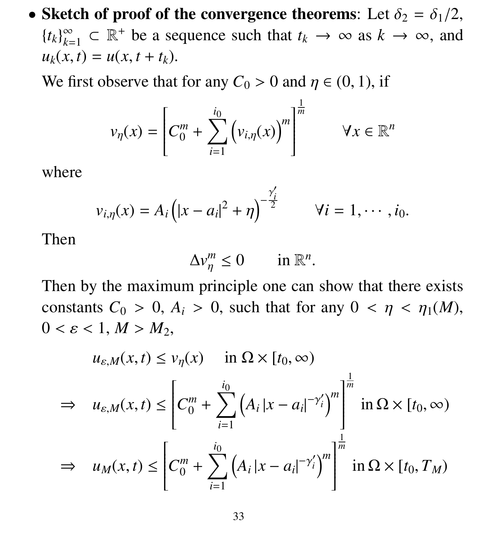• Sketch of proof of the convergence theorems: Let  $\delta_2 = \delta_1/2$ ,  ${t_k}_{k=0}^\infty$  $\sum_{k=1}^{\infty}$   $\subset \mathbb{R}^+$  be a sequence such that  $t_k \to \infty$  as  $k \to \infty$ , and  $u_k(x, t) = u(x, t + t_k).$ 

We first observe that for any  $C_0 > 0$  and  $\eta \in (0, 1)$ , if

$$
v_{\eta}(x) = \left[C_0^m + \sum_{i=1}^{i_0} \left(v_{i,\eta}(x)\right)^m\right]^{\frac{1}{m}} \qquad \forall x \in \mathbb{R}^n
$$

where

$$
v_{i,\eta}(x) = A_i (|x - a_i|^2 + \eta)^{-\frac{\gamma'_i}{2}}
$$
  $\forall i = 1, \cdots, i_0.$ 

Then

$$
\Delta v_\eta^m \le 0 \qquad \text{in } \mathbb{R}^n.
$$

Then by the maximum principle one can show that there exists constants  $C_0 > 0$ ,  $A_i > 0$ , such that for any  $0 < \eta < \eta_1(M)$ ,  $0 < \varepsilon < 1, M > M_2$ 

$$
u_{\varepsilon,M}(x,t) \le v_{\eta}(x) \quad \text{in } \Omega \times [t_0, \infty)
$$
  
\n
$$
\Rightarrow u_{\varepsilon,M}(x,t) \le \left[C_0^m + \sum_{i=1}^{i_0} \left(A_i |x - a_i|^{-\gamma'_i}\right)^m\right]^{\frac{1}{m}} \text{in } \Omega \times [t_0, \infty)
$$
  
\n
$$
\Rightarrow u_M(x,t) \le \left[C_0^m + \sum_{i=1}^{i_0} \left(A_i |x - a_i|^{-\gamma'_i}\right)^m\right]^{\frac{1}{m}} \text{in } \Omega \times [t_0, T_M)
$$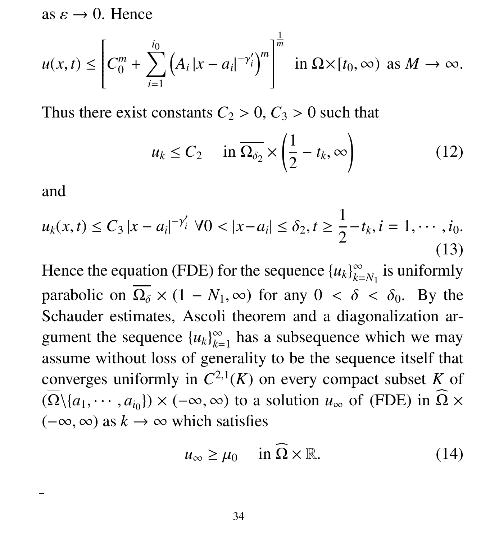as  $\varepsilon \to 0$ . Hence

$$
u(x,t) \leq \left[C_0^m + \sum_{i=1}^{i_0} \left(A_i |x - a_i|^{-\gamma_i'}\right)^m\right]^{\frac{1}{m}} \text{ in } \Omega \times [t_0, \infty) \text{ as } M \to \infty.
$$

Thus there exist constants  $C_2 > 0$ ,  $C_3 > 0$  such that

$$
u_k \le C_2 \quad \text{in } \overline{\Omega_{\delta_2}} \times \left(\frac{1}{2} - t_k, \infty\right) \tag{12}
$$

and

 $\overline{a}$ 

$$
u_k(x,t) \le C_3 |x - a_i|^{-\gamma'_i} \ \forall 0 < |x - a_i| \le \delta_2, \ t \ge \frac{1}{2} - t_k, \ i = 1, \cdots, i_0. \tag{13}
$$

Hence the equation (FDE) for the sequence  ${u_k}_{k=1}^{\infty}$  $\sum_{k=N_1}^{\infty}$  is uniformly parabolic on  $\overline{\Omega_{\delta}} \times (1 - N_1, \infty)$  for any  $0 < \delta < \delta_0$ . By the Schauder estimates, Ascoli theorem and a diagonalization argument the sequence  ${u_k}_{k=0}^{\infty}$  $\sum_{k=1}^{\infty}$  has a subsequence which we may assume without loss of generality to be the sequence itself that converges uniformly in  $C^{2,1}(K)$  on every compact subset K of  $(\Omega \setminus \{a_1, \dots, a_{i_0}\}) \times (-\infty, \infty)$  to a solution  $u_{\infty}$  of (FDE) in  $\Omega \times (-\infty, \infty)$  as  $k \to \infty$  which satisfies  $(-\infty, \infty)$  as  $k \to \infty$  which satisfies

$$
u_{\infty} \ge \mu_0 \quad \text{in } \widehat{\Omega} \times \mathbb{R}.
$$
 (14)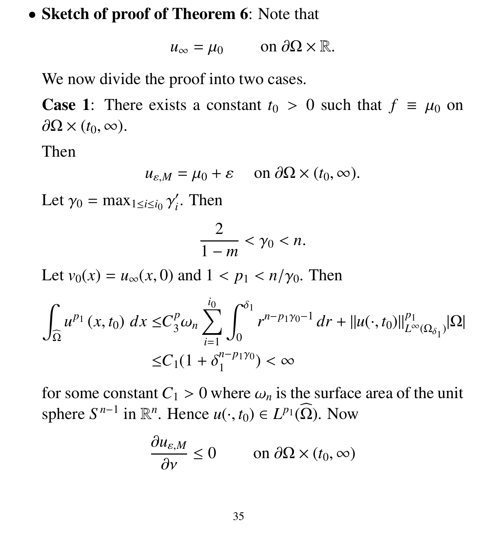### • Sketch of proof of Theorem 6: Note that

$$
u_{\infty} = \mu_0 \qquad \text{on } \partial\Omega \times \mathbb{R}.
$$

We now divide the proof into two cases.

**Case 1:** There exists a constant  $t_0 > 0$  such that  $f \equiv \mu_0$  on  $\partial\Omega\times(t_0,\infty)$ .

Then

$$
u_{\varepsilon,M} = \mu_0 + \varepsilon \quad \text{on } \partial\Omega \times (t_0, \infty).
$$

Let  $\gamma_0 = \max_{1 \le i \le i_0} \gamma$  $\prime$ *i* . Then

$$
\frac{2}{1-m}<\gamma_0
$$

Let  $v_0(x) = u_{\infty}(x, 0)$  and  $1 < p_1 < n/\gamma_0$ . Then

$$
\int_{\widehat{\Omega}} u^{p_1}(x,t_0) \, dx \leq C_3^p \omega_n \sum_{i=1}^{i_0} \int_0^{\delta_1} r^{n-p_1\gamma_0 - 1} \, dr + ||u(\cdot, t_0)||_{L^\infty(\Omega_{\delta_1})}^{p_1} |\Omega|
$$
  

$$
\leq C_1 (1 + \delta_1^{n-p_1\gamma_0}) < \infty
$$

for some constant  $C_1 > 0$  where  $\omega_n$  is the surface area of the unit sphere  $S^{n-1}$  in  $\mathbb{R}^n$ . Hence  $u(\cdot, t_0) \in L^{p_1}(\widehat{\Omega})$ . Now

$$
\frac{\partial u_{\varepsilon,M}}{\partial v} \le 0 \qquad \text{on } \partial\Omega \times (t_0, \infty)
$$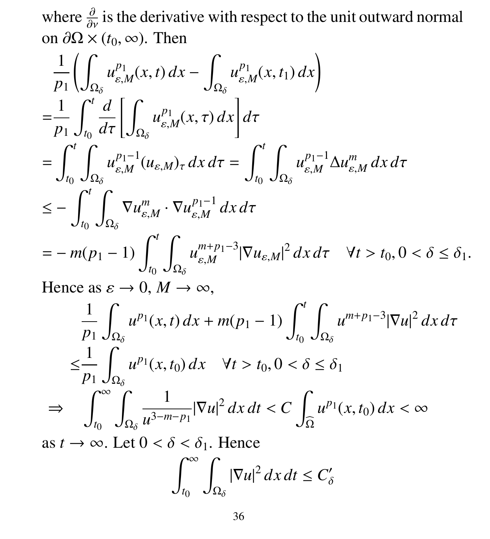where  $\frac{\partial}{\partial y}$  is the derivative with respect to the unit outward normal<br>on  $\partial \Omega \times (t_0, \infty)$ . Then on  $\partial\Omega \times (t_0, \infty)$ . Then

$$
\frac{1}{p_{1}}\left(\int_{\Omega_{\delta}}u_{\varepsilon,M}^{p_{1}}(x,t) dx - \int_{\Omega_{\delta}}u_{\varepsilon,M}^{p_{1}}(x,t) dx\right)
$$
\n
$$
=\frac{1}{p_{1}}\int_{t_{0}}^{t} \frac{d}{d\tau}\left[\int_{\Omega_{\delta}}u_{\varepsilon,M}^{p_{1}}(x,\tau) dx\right]d\tau
$$
\n
$$
=\int_{t_{0}}^{t}\int_{\Omega_{\delta}}u_{\varepsilon,M}^{p_{1}-1}(u_{\varepsilon,M})_{\tau} dx d\tau = \int_{t_{0}}^{t}\int_{\Omega_{\delta}}u_{\varepsilon,M}^{p_{1}-1}\Delta u_{\varepsilon,M}^{m} dx d\tau
$$
\n
$$
\leq -\int_{t_{0}}^{t}\int_{\Omega_{\delta}}\nabla u_{\varepsilon,M}^{m}\cdot \nabla u_{\varepsilon,M}^{p_{1}-1} dx d\tau
$$
\n
$$
= -m(p_{1}-1)\int_{t_{0}}^{t}\int_{\Omega_{\delta}}u_{\varepsilon,M}^{m+p_{1}-3}|\nabla u_{\varepsilon,M}|^{2} dx d\tau \quad \forall t > t_{0}, 0 < \delta \leq \delta_{1}.
$$

Hence as  $\varepsilon \to 0$ ,  $M \to \infty$ ,

$$
\frac{1}{p_1} \int_{\Omega_{\delta}} u^{p_1}(x, t) dx + m(p_1 - 1) \int_{t_0}^t \int_{\Omega_{\delta}} u^{m+p_1-3} |\nabla u|^2 dx d\tau
$$
  
\n
$$
\leq \frac{1}{p_1} \int_{\Omega_{\delta}} u^{p_1}(x, t_0) dx \quad \forall t > t_0, 0 < \delta \leq \delta_1
$$
  
\n
$$
\Rightarrow \int_{t_0}^{\infty} \int_{\Omega_{\delta}} \frac{1}{u^{3-m-p_1}} |\nabla u|^2 dx dt < C \int_{\Omega} u^{p_1}(x, t_0) dx < \infty
$$

as  $t \to \infty$ . Let  $0 < \delta < \delta_1$ . Hence

$$
\int_{t_0}^{\infty} \int_{\Omega_{\delta}} |\nabla u|^2 \, dx \, dt \le C_{\delta}'
$$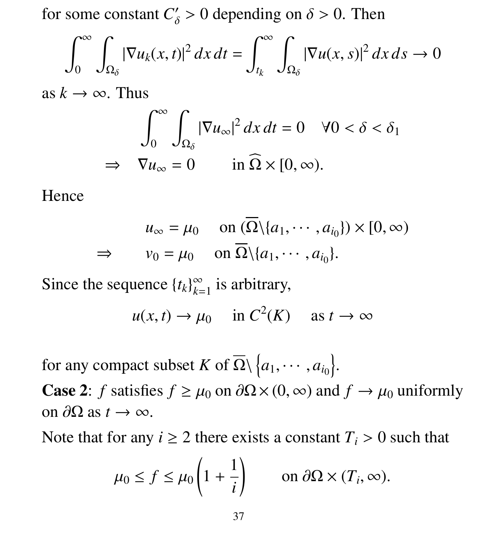for some constant  $C'_{\delta} > 0$  depending on  $\delta > 0$ . Then

$$
\int_0^\infty \int_{\Omega_\delta} |\nabla u_k(x,t)|^2 dx dt = \int_{t_k}^\infty \int_{\Omega_\delta} |\nabla u(x,s)|^2 dx ds \to 0
$$

as  $k \to \infty$ . Thus

$$
\int_0^\infty \int_{\Omega_\delta} |\nabla u_\infty|^2 \, dx \, dt = 0 \quad \forall 0 < \delta < \delta_1
$$
\n
$$
\Rightarrow \quad \nabla u_\infty = 0 \qquad \text{in } \Omega \times [0, \infty).
$$

#### Hence

$$
u_{\infty} = \mu_0 \quad \text{on } (\overline{\Omega} \setminus \{a_1, \cdots, a_{i_0}\}) \times [0, \infty)
$$
  
\n
$$
\Rightarrow \quad v_0 = \mu_0 \quad \text{on } \overline{\Omega} \setminus \{a_1, \cdots, a_{i_0}\}.
$$

Since the sequence  ${t_k}_{k=0}^{\infty}$  $\sum_{k=1}^{\infty}$  is arbitrary,

$$
u(x, t) \to \mu_0
$$
 in  $C^2(K)$  as  $t \to \infty$ 

for any compact subset *K* of  $\overline{\Omega} \setminus \{a_1, \dots, a_{i_0}\}.$ 

**Case 2:** *f* satisfies  $f \geq \mu_0$  on  $\partial\Omega \times (0, \infty)$  and  $f \to \mu_0$  uniformly on  $\partial\Omega$  as  $t \to \infty$ .

Note that for any  $i \ge 2$  there exists a constant  $T_i > 0$  such that

$$
\mu_0 \le f \le \mu_0 \left( 1 + \frac{1}{i} \right)
$$
 on  $\partial \Omega \times (T_i, \infty)$ .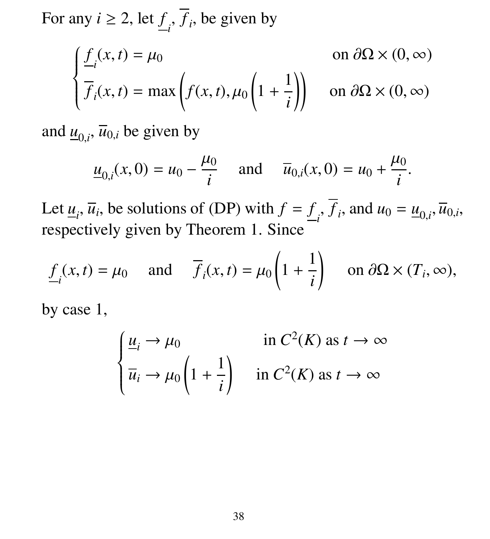For any  $i \ge 2$ , let  $\underline{f}_i$ ,  $f_i$ , be given by

$$
\begin{cases}\n\underline{f}_i(x,t) = \mu_0 & \text{on } \partial\Omega \times (0,\infty) \\
\overline{f}_i(x,t) = \max\left(f(x,t), \mu_0\left(1 + \frac{1}{i}\right)\right) & \text{on } \partial\Omega \times (0,\infty)\n\end{cases}
$$

and  $\underline{u}_{0,i}$ ,  $\overline{u}_{0,i}$  be given by

$$
\underline{u}_{0,i}(x,0) = u_0 - \frac{\mu_0}{i}
$$
 and  $\overline{u}_{0,i}(x,0) = u_0 + \frac{\mu_0}{i}$ .

Let  $\underline{u}_i$ ,  $\overline{u}_i$ , be solutions of (DP) with  $f = f_i$ ,  $f_i$ , and  $u_0 = \underline{u}_{0,i}$ ,  $\overline{u}_{0,i}$ , respectively given by Theorem 1. Since

$$
\underline{f}_i(x,t) = \mu_0
$$
 and  $\overline{f}_i(x,t) = \mu_0 \left( 1 + \frac{1}{i} \right)$  on  $\partial \Omega \times (T_i, \infty)$ ,

by case 1,

$$
\begin{cases} \frac{u_i}{u_i} \to \mu_0 & \text{in } C^2(K) \text{ as } t \to \infty \\ \overline{u}_i \to \mu_0 \left( 1 + \frac{1}{i} \right) & \text{in } C^2(K) \text{ as } t \to \infty \end{cases}
$$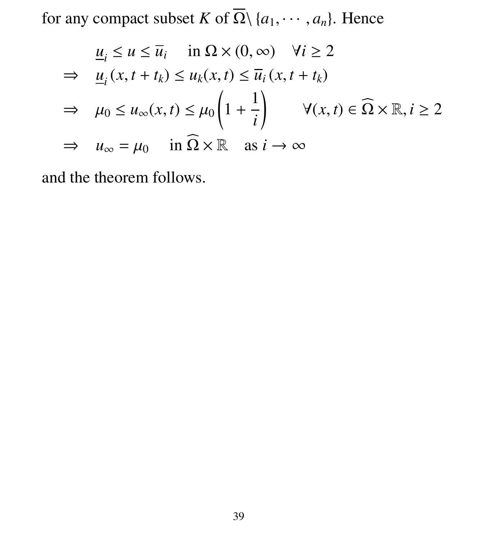for any compact subset *K* of  $\overline{\Omega} \setminus \{a_1, \dots, a_n\}$ . Hence

$$
\underline{u}_i \le u \le \overline{u}_i \quad \text{in } \Omega \times (0, \infty) \quad \forall i \ge 2
$$
\n
$$
\Rightarrow \quad \underline{u}_i(x, t + t_k) \le u_k(x, t) \le \overline{u}_i(x, t + t_k)
$$
\n
$$
\Rightarrow \quad \mu_0 \le u_\infty(x, t) \le \mu_0 \left( 1 + \frac{1}{i} \right) \quad \forall (x, t) \in \Omega \times \mathbb{R}, i \ge 2
$$
\n
$$
\Rightarrow \quad u_\infty = \mu_0 \quad \text{in } \Omega \times \mathbb{R} \quad \text{as } i \to \infty
$$

and the theorem follows.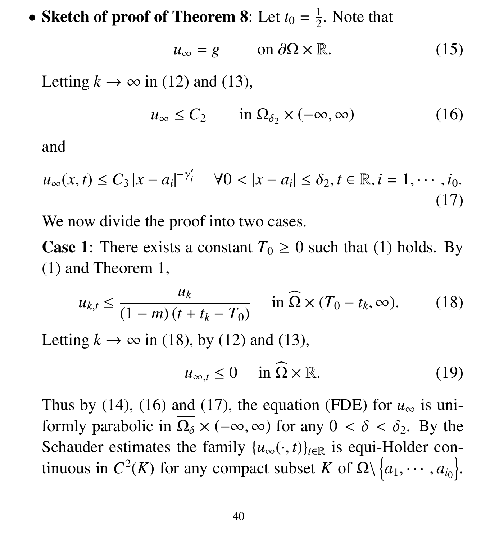• Sketch of proof of Theorem 8: Let  $t_0 = \frac{1}{2}$  $\frac{1}{2}$ . Note that

$$
u_{\infty} = g \qquad \text{on } \partial\Omega \times \mathbb{R}.
$$
 (15)

Letting  $k \to \infty$  in (12) and (13),

$$
u_{\infty} \le C_2 \qquad \text{in } \overline{\Omega_{\delta_2}} \times (-\infty, \infty) \tag{16}
$$

and

$$
u_{\infty}(x,t) \le C_3 |x - a_i|^{-\gamma'_i} \quad \forall 0 < |x - a_i| \le \delta_2, t \in \mathbb{R}, i = 1, \cdots, i_0.
$$
\n(17)

We now divide the proof into two cases.

**Case 1:** There exists a constant  $T_0 \ge 0$  such that (1) holds. By (1) and Theorem 1,

$$
u_{k,t} \le \frac{u_k}{(1-m)(t+t_k-T_0)} \quad \text{in } \widehat{\Omega} \times (T_0-t_k,\infty). \tag{18}
$$

Letting  $k \to \infty$  in (18), by (12) and (13),

$$
u_{\infty,t} \le 0 \quad \text{in } \widehat{\Omega} \times \mathbb{R}.\tag{19}
$$

Thus by (14), (16) and (17), the equation (FDE) for  $u_{\infty}$  is uniformly parabolic in  $\overline{\Omega_{\delta}} \times (-\infty, \infty)$  for any  $0 < \delta < \delta_2$ . By the Schauder estimates the family  ${u_{\infty}(\cdot,t)}_{t\in\mathbb{R}}$  is equi-Holder continuous in  $C^2(K)$  for any compact subset *K* of  $\overline{\Omega} \setminus \{a_1, \dots, a_{i_0}\}.$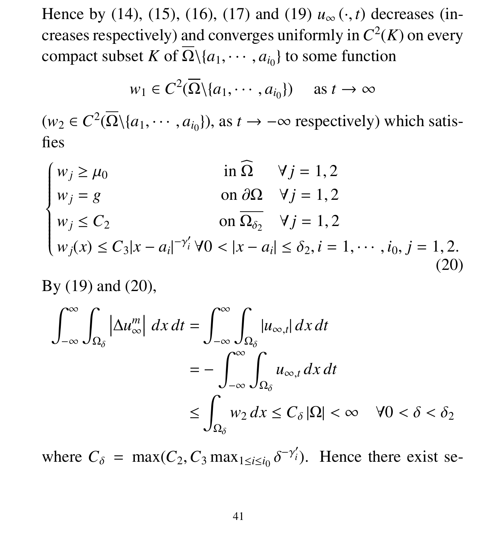Hence by (14), (15), (16), (17) and (19)  $u_{\infty}(\cdot, t)$  decreases (increases respectively) and converges uniformly in  $C^2(K)$  on every compact subset *K* of  $\Omega \setminus \{a_1, \dots, a_{i_0}\}\)$  to some function

$$
w_1 \in C^2(\overline{\Omega} \setminus \{a_1, \cdots, a_{i_0}\}) \quad \text{ as } t \to \infty
$$

 $(w_2 \in C^2(\overline{\Omega} \setminus \{a_1, \dots, a_{i_0}\}),$  as  $t \to -\infty$  respectively) which satisfies

 $w_j \ge \mu_0$  in  $\Omega$   $\forall j = 1, 2$  in  $\Omega$   $\forall j = 1, 2$  $\left\{\right.$   $w_j = g$  on  $\frac{\partial \Omega}{\partial z}$   $\forall j = 1, 2$  $w_j \le C_2$  on  $\Omega_{\delta_2}$   $\forall j = 1, 2$  $w_j(x) \le C_3 |x - a_i|^{-\gamma'_i} \forall 0 < |x - a_i| \le \delta_2, i = 1, \dots, i_0, j = 1, 2.$ (20)

By (19) and (20),

$$
\int_{-\infty}^{\infty} \int_{\Omega_{\delta}} \left| \Delta u_{\infty}^{m} \right| dx dt = \int_{-\infty}^{\infty} \int_{\Omega_{\delta}} |u_{\infty,t}| dx dt
$$
  

$$
= - \int_{-\infty}^{\infty} \int_{\Omega_{\delta}} u_{\infty,t} dx dt
$$
  

$$
\leq \int_{\Omega_{\delta}} w_{2} dx \leq C_{\delta} |\Omega| < \infty \quad \forall 0 < \delta < \delta_{2}
$$

where  $C_{\delta} = \max(C_2, C_3 \max_{1 \le i \le i_0} \delta$  $-\gamma'_i$ ). Hence there exist se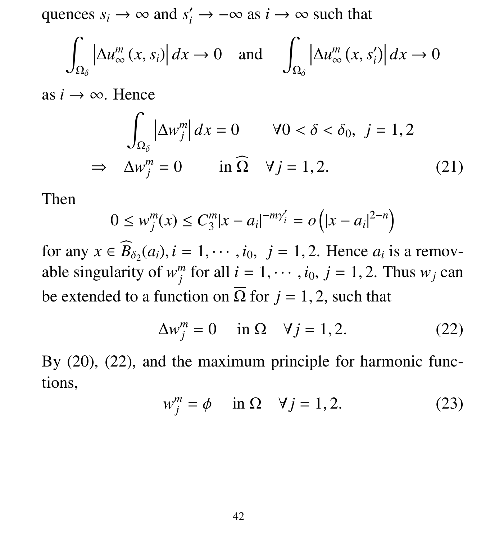quences  $s_i \to \infty$  and  $s'_i \to -\infty$  as  $i \to \infty$  such that

$$
\int_{\Omega_{\delta}} \left| \Delta u_{\infty}^{m}(x, s_{i}) \right| dx \to 0 \quad \text{and} \quad \int_{\Omega_{\delta}} \left| \Delta u_{\infty}^{m}(x, s_{i}') \right| dx \to 0
$$

as  $i \rightarrow \infty$ . Hence

$$
\int_{\Omega_{\delta}} |\Delta w_j^m| dx = 0 \qquad \forall 0 < \delta < \delta_0, \ j = 1, 2
$$
  
\n
$$
\Rightarrow \Delta w_j^m = 0 \qquad \text{in } \Omega \quad \forall j = 1, 2. \tag{21}
$$

Then

$$
0 \le w_j^m(x) \le C_3^m |x - a_i|^{-m\gamma_i'} = o\left(|x - a_i|^{2-n}\right)
$$

for any  $x \in B_{\delta_2}(a_i)$ ,  $i = 1, \dots, i_0$ ,  $j = 1, 2$ . Hence  $a_i$  is a remov-<br>able singularity of  $w^m$  for all  $i = 1, \dots, i_0$ ,  $i = 1, 2$ . Thus  $w_i$  can able singularity of  $w_i^m$ *j* for all  $i = 1, \dots, i_0, j = 1, 2$ . Thus  $w_j$  can be extended to a function on  $\overline{\Omega}$  for  $j = 1, 2$ , such that

$$
\Delta w_j^m = 0 \quad \text{in } \Omega \quad \forall j = 1, 2. \tag{22}
$$

By  $(20)$ ,  $(22)$ , and the maximum principle for harmonic functions,

$$
w_j^m = \phi \quad \text{in } \Omega \quad \forall j = 1, 2. \tag{23}
$$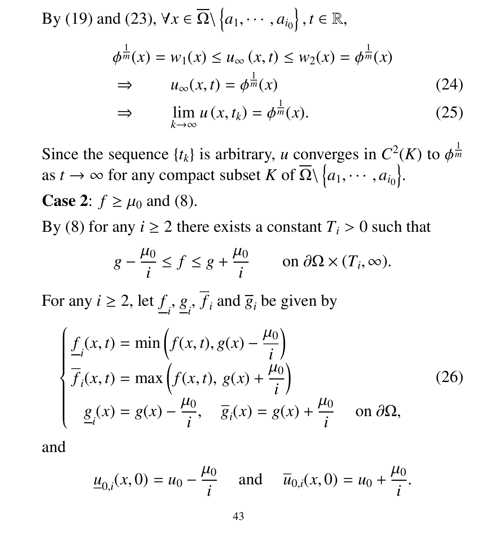By (19) and (23), 
$$
\forall x \in \overline{\Omega} \setminus \{a_1, \dots, a_{i_0}\}, t \in \mathbb{R},
$$
  
\n
$$
\phi^{\frac{1}{m}}(x) = w_1(x) \le u_{\infty}(x, t) \le w_2(x) = \phi^{\frac{1}{m}}(x)
$$
\n
$$
\Rightarrow u_{\infty}(x, t) = \phi^{\frac{1}{m}}(x) \tag{24}
$$

$$
\Rightarrow \qquad \lim_{k \to \infty} u(x, t_k) = \phi^{\frac{1}{m}}(x). \tag{25}
$$

Since the sequence  $\{t_k\}$  is arbitrary, *u* converges in  $C^2(K)$  to  $\phi^{\frac{1}{m}}$ <br>as  $t \to \infty$  for any compact subset K of  $\overline{O}$   $\bigcup_{\alpha \in \mathcal{M}} a_{\alpha}$ ,  $\chi$ *m* as *t*  $\rightarrow \infty$  for any compact subset *K* of  $\overline{\Omega} \setminus \{a_1, \dots, a_{i_0}\}.$ **Case 2:**  $f \geq \mu_0$  and (8).

By (8) for any  $i \ge 2$  there exists a constant  $T_i > 0$  such that

$$
g - \frac{\mu_0}{i} \le f \le g + \frac{\mu_0}{i} \qquad \text{on } \partial\Omega \times (T_i, \infty).
$$

For any  $i \ge 2$ , let  $\underline{f}_i$ ,  $\underline{g}_i$ ,  $f_i$  and  $\overline{g}_i$  be given by

$$
\begin{cases}\n\underline{f}_i(x,t) = \min\left(f(x,t), g(x) - \frac{\mu_0}{i}\right) \\
\overline{f}_i(x,t) = \max\left(f(x,t), g(x) + \frac{\mu_0}{i}\right) \\
\underline{g}_i(x) = g(x) - \frac{\mu_0}{i}, \quad \overline{g}_i(x) = g(x) + \frac{\mu_0}{i} \quad \text{on } \partial\Omega,\n\end{cases}
$$
\n(26)

and

$$
\underline{u}_{0,i}(x,0) = u_0 - \frac{\mu_0}{i}
$$
 and  $\overline{u}_{0,i}(x,0) = u_0 + \frac{\mu_0}{i}$ .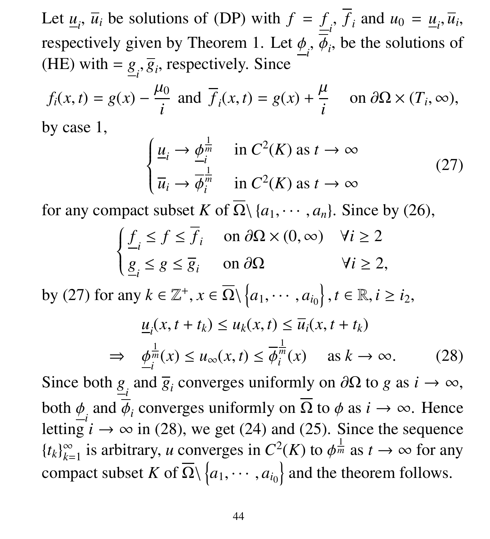Let  $\underline{u}_i$ ,  $\overline{u}_i$  be solutions of (DP) with  $f = f_i$ ,  $f_i$  and  $u_0 = \underline{u}_i$ ,  $\overline{u}_i$ , respectively given by Theorem 1. Let  $\phi_i$ ,  $\phi_i$ , be the solutions of  $(HF)$  with  $= g_i \overline{g}$  respectively. Since (HE) with =  $g_i$ ,  $\overline{g}_i$ , respectively. Since

$$
f_i(x, t) = g(x) - \frac{\mu_0}{i}
$$
 and  $\overline{f}_i(x, t) = g(x) + \frac{\mu}{i}$  on  $\partial\Omega \times (T_i, \infty)$ ,  
by case 1,

$$
\begin{cases} \underline{u}_i \to \underline{\phi}_i^{\frac{1}{m}} & \text{in } C^2(K) \text{ as } t \to \infty \\ \overline{u}_i \to \overline{\phi}_i^{\frac{1}{m}} & \text{in } C^2(K) \text{ as } t \to \infty \end{cases}
$$
 (27)

for any compact subset *K* of  $\Omega \setminus \{a_1, \dots, a_n\}$ . Since by (26),

$$
\begin{cases} \n\underline{f}_i \le f \le \overline{f}_i & \text{on } \partial\Omega \times (0, \infty) \quad \forall i \ge 2\\ \n\underline{g}_i \le g \le \overline{g}_i & \text{on } \partial\Omega \n\end{cases} \quad \forall i \ge 2,
$$

by (27) for any  $k \in \mathbb{Z}^+, x \in \overline{\Omega} \setminus \{a_1, \cdots, a_{i_0}\}, t \in \mathbb{R}, i \geq i_2$ ,

$$
\underline{u}_i(x, t + t_k) \le u_k(x, t) \le \overline{u}_i(x, t + t_k)
$$
\n
$$
\Rightarrow \quad \underline{\phi}_i^{\frac{1}{m}}(x) \le u_\infty(x, t) \le \overline{\phi}_i^{\frac{1}{m}}(x) \quad \text{as } k \to \infty. \tag{28}
$$

Since both  $g_i$  and  $\overline{g}_i$  converges uniformly on  $\partial\Omega$  to *g* as  $i \to \infty$ , both  $\phi_i$  and  $\overline{\phi}_i$  converges uniformly on  $\Omega$  to  $\phi$  as  $i \to \infty$ . Hence letting  $i \to \infty$  in (28), we get (24) and (25). Since the sequence  ${t_k}_{k=0}^\infty$  $\sum_{k=1}^{\infty}$  is arbitrary, *u* converges in  $C^2(K)$  to  $\phi^{\frac{1}{m}}$  as  $t \to \infty$  for any compact subset *K* of  $\overline{\Omega} \setminus \{a_1, \dots, a_{i_0}\}$  and the theorem follows.